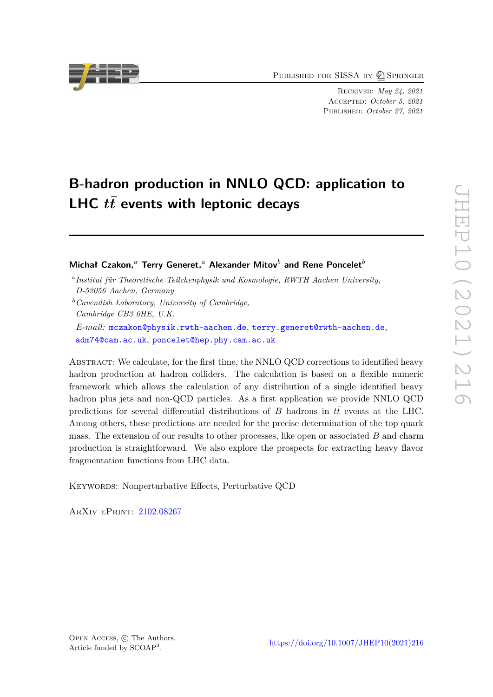PUBLISHED FOR SISSA BY 2 SPRINGER

Received: *May 24, 2021* Accepted: *October 5, 2021* Published: *October 27, 2021*

# **B-hadron production in NNLO QCD: application to** LHC  $t\bar{t}$  events with leptonic decays

**Michał Czakon,***<sup>a</sup>* **Terry Generet,***<sup>a</sup>* **Alexander Mitov***<sup>b</sup>* **and Rene Poncelet***<sup>b</sup>*

ABSTRACT: We calculate, for the first time, the NNLO QCD corrections to identified heavy hadron production at hadron colliders. The calculation is based on a flexible numeric framework which allows the calculation of any distribution of a single identified heavy hadron plus jets and non-QCD particles. As a first application we provide NNLO QCD predictions for several differential distributions of *B* hadrons in  $t\bar{t}$  events at the LHC. Among others, these predictions are needed for the precise determination of the top quark mass. The extension of our results to other processes, like open or associated *B* and charm production is straightforward. We also explore the prospects for extracting heavy flavor fragmentation functions from LHC data.

KEYWORDS: Nonperturbative Effects, Perturbative QCD

ArXiv ePrint: [2102.08267](https://arxiv.org/abs/2102.08267)



*a Institut für Theoretische Teilchenphysik und Kosmologie, RWTH Aachen University, D-52056 Aachen, Germany*

*<sup>b</sup>Cavendish Laboratory, University of Cambridge, Cambridge CB3 0HE, U.K. E-mail:* [mczakon@physik.rwth-aachen.de](mailto:mczakon@physik.rwth-aachen.de), [terry.generet@rwth-aachen.de](mailto:terry.generet@rwth-aachen.de), [adm74@cam.ac.uk](mailto:adm74@cam.ac.uk), [poncelet@hep.phy.cam.ac.uk](mailto:poncelet@hep.phy.cam.ac.uk)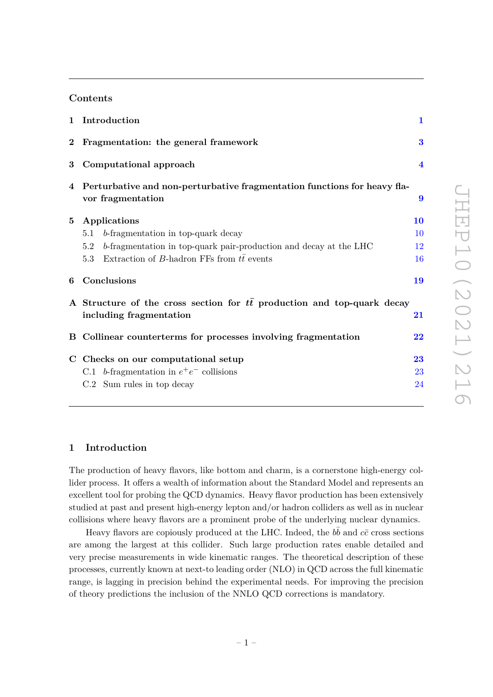## **Contents**

|          | 1 Introduction                                                                                            | $\mathbf{1}$        |  |  |  |
|----------|-----------------------------------------------------------------------------------------------------------|---------------------|--|--|--|
| $\bf{2}$ | Fragmentation: the general framework                                                                      | 3                   |  |  |  |
| 3        | Computational approach                                                                                    |                     |  |  |  |
| 4        | Perturbative and non-perturbative fragmentation functions for heavy fla-<br>vor fragmentation             | 9                   |  |  |  |
| 5        | Applications                                                                                              | 10                  |  |  |  |
|          | b-fragmentation in top-quark decay<br>5.1                                                                 | 10                  |  |  |  |
|          | b-fragmentation in top-quark pair-production and decay at the LHC<br>5.2                                  | 12                  |  |  |  |
|          | Extraction of B-hadron FFs from $t\bar{t}$ events<br>5.3                                                  | 16                  |  |  |  |
| 6        | Conclusions                                                                                               | 19                  |  |  |  |
|          | A Structure of the cross section for $t\bar{t}$ production and top-quark decay<br>including fragmentation | $\overline{21}$     |  |  |  |
|          | B Collinear counterterms for processes involving fragmentation                                            | $\overline{\bf 22}$ |  |  |  |
|          | C Checks on our computational setup                                                                       | 23                  |  |  |  |
|          | C.1 b-fragmentation in $e^+e^-$ collisions                                                                | 23                  |  |  |  |
|          | C.2 Sum rules in top decay                                                                                | 24                  |  |  |  |

## <span id="page-1-0"></span>**1 Introduction**

The production of heavy flavors, like bottom and charm, is a cornerstone high-energy collider process. It offers a wealth of information about the Standard Model and represents an excellent tool for probing the QCD dynamics. Heavy flavor production has been extensively studied at past and present high-energy lepton and/or hadron colliders as well as in nuclear collisions where heavy flavors are a prominent probe of the underlying nuclear dynamics.

Heavy flavors are copiously produced at the LHC. Indeed, the  $b\bar{b}$  and  $c\bar{c}$  cross sections are among the largest at this collider. Such large production rates enable detailed and very precise measurements in wide kinematic ranges. The theoretical description of these processes, currently known at next-to leading order (NLO) in QCD across the full kinematic range, is lagging in precision behind the experimental needs. For improving the precision of theory predictions the inclusion of the NNLO QCD corrections is mandatory.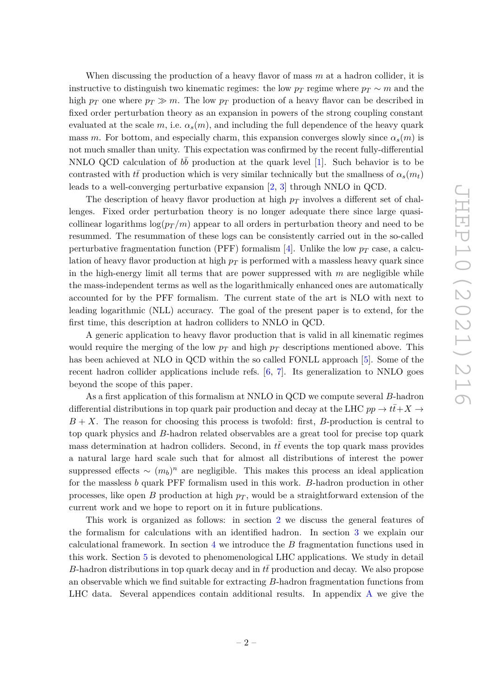When discussing the production of a heavy flavor of mass *m* at a hadron collider, it is instructive to distinguish two kinematic regimes: the low  $p_T$  regime where  $p_T \sim m$  and the high  $p_T$  one where  $p_T \gg m$ . The low  $p_T$  production of a heavy flavor can be described in fixed order perturbation theory as an expansion in powers of the strong coupling constant evaluated at the scale  $m$ , i.e.  $\alpha_s(m)$ , and including the full dependence of the heavy quark mass *m*. For bottom, and especially charm, this expansion converges slowly since  $\alpha_s(m)$  is not much smaller than unity. This expectation was confirmed by the recent fully-differential NNLO QCD calculation of  $b\bar{b}$  production at the quark level [\[1\]](#page-25-0). Such behavior is to be contrasted with *tt* production which is very similar technically but the smallness of  $\alpha_s(m_t)$ leads to a well-converging perturbative expansion [\[2,](#page-25-1) [3\]](#page-25-2) through NNLO in QCD.

The description of heavy flavor production at high *p<sup>T</sup>* involves a different set of challenges. Fixed order perturbation theory is no longer adequate there since large quasicollinear logarithms  $\log(p_T/m)$  appear to all orders in perturbation theory and need to be resummed. The resummation of these logs can be consistently carried out in the so-called perturbative fragmentation function (PFF) formalism [\[4\]](#page-25-3). Unlike the low  $p_T$  case, a calculation of heavy flavor production at high  $p<sub>T</sub>$  is performed with a massless heavy quark since in the high-energy limit all terms that are power suppressed with *m* are negligible while the mass-independent terms as well as the logarithmically enhanced ones are automatically accounted for by the PFF formalism. The current state of the art is NLO with next to leading logarithmic (NLL) accuracy. The goal of the present paper is to extend, for the first time, this description at hadron colliders to NNLO in QCD.

A generic application to heavy flavor production that is valid in all kinematic regimes would require the merging of the low  $p_T$  and high  $p_T$  descriptions mentioned above. This has been achieved at NLO in QCD within the so called FONLL approach [\[5\]](#page-25-4). Some of the recent hadron collider applications include refs. [\[6,](#page-25-5) [7\]](#page-25-6). Its generalization to NNLO goes beyond the scope of this paper.

As a first application of this formalism at NNLO in QCD we compute several *B*-hadron differential distributions in top quark pair production and decay at the LHC  $pp \to t\bar{t}+X \to$ *B* + *X*. The reason for choosing this process is twofold: first, *B*-production is central to top quark physics and *B*-hadron related observables are a great tool for precise top quark mass determination at hadron colliders. Second, in  $t\bar{t}$  events the top quark mass provides a natural large hard scale such that for almost all distributions of interest the power suppressed effects  $\sim (m_b)^n$  are negligible. This makes this process an ideal application for the massless *b* quark PFF formalism used in this work. *B*-hadron production in other processes, like open *B* production at high  $p<sub>T</sub>$ , would be a straightforward extension of the current work and we hope to report on it in future publications.

This work is organized as follows: in section [2](#page-3-0) we discuss the general features of the formalism for calculations with an identified hadron. In section [3](#page-4-0) we explain our calculational framework. In section [4](#page-9-0) we introduce the *B* fragmentation functions used in this work. Section [5](#page-10-0) is devoted to phenomenological LHC applications. We study in detail *B*-hadron distributions in top quark decay and in *tt* production and decay. We also propose an observable which we find suitable for extracting *B*-hadron fragmentation functions from LHC data. Several appendices contain additional results. In appendix [A](#page-21-0) we give the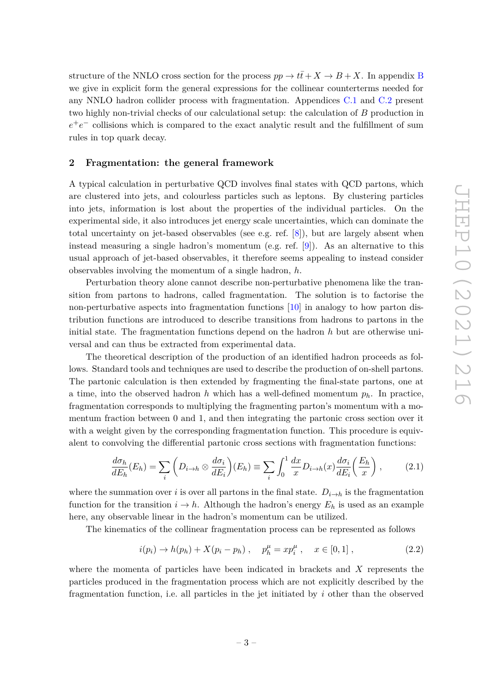structure of the NNLO cross section for the process  $pp \to t\bar{t} + X \to B + X$  $pp \to t\bar{t} + X \to B + X$  $pp \to t\bar{t} + X \to B + X$ . In appendix B we give in explicit form the general expressions for the collinear counterterms needed for any NNLO hadron collider process with fragmentation. Appendices [C.1](#page-23-1) and [C.2](#page-24-0) present two highly non-trivial checks of our calculational setup: the calculation of *B* production in  $e^+e^-$  collisions which is compared to the exact analytic result and the fulfillment of sum rules in top quark decay.

#### <span id="page-3-0"></span>**2 Fragmentation: the general framework**

A typical calculation in perturbative QCD involves final states with QCD partons, which are clustered into jets, and colourless particles such as leptons. By clustering particles into jets, information is lost about the properties of the individual particles. On the experimental side, it also introduces jet energy scale uncertainties, which can dominate the total uncertainty on jet-based observables (see e.g. ref. [\[8\]](#page-26-0)), but are largely absent when instead measuring a single hadron's momentum (e.g. ref. [\[9\]](#page-26-1)). As an alternative to this usual approach of jet-based observables, it therefore seems appealing to instead consider observables involving the momentum of a single hadron, *h*.

Perturbation theory alone cannot describe non-perturbative phenomena like the transition from partons to hadrons, called fragmentation. The solution is to factorise the non-perturbative aspects into fragmentation functions [\[10\]](#page-26-2) in analogy to how parton distribution functions are introduced to describe transitions from hadrons to partons in the initial state. The fragmentation functions depend on the hadron *h* but are otherwise universal and can thus be extracted from experimental data.

The theoretical description of the production of an identified hadron proceeds as follows. Standard tools and techniques are used to describe the production of on-shell partons. The partonic calculation is then extended by fragmenting the final-state partons, one at a time, into the observed hadron *h* which has a well-defined momentum  $p_h$ . In practice, fragmentation corresponds to multiplying the fragmenting parton's momentum with a momentum fraction between 0 and 1, and then integrating the partonic cross section over it with a weight given by the corresponding fragmentation function. This procedure is equivalent to convolving the differential partonic cross sections with fragmentation functions:

<span id="page-3-2"></span>
$$
\frac{d\sigma_h}{dE_h}(E_h) = \sum_i \left( D_{i \to h} \otimes \frac{d\sigma_i}{dE_i} \right) (E_h) \equiv \sum_i \int_0^1 \frac{dx}{x} D_{i \to h}(x) \frac{d\sigma_i}{dE_i} \left( \frac{E_h}{x} \right), \tag{2.1}
$$

where the summation over *i* is over all partons in the final state.  $D_{i\to h}$  is the fragmentation function for the transition  $i \to h$ . Although the hadron's energy  $E_h$  is used as an example here, any observable linear in the hadron's momentum can be utilized.

The kinematics of the collinear fragmentation process can be represented as follows

<span id="page-3-1"></span>
$$
i(p_i) \to h(p_h) + X(p_i - p_h) , \quad p_h^{\mu} = x p_i^{\mu} , \quad x \in [0, 1] ,
$$
 (2.2)

where the momenta of particles have been indicated in brackets and *X* represents the particles produced in the fragmentation process which are not explicitly described by the fragmentation function, i.e. all particles in the jet initiated by *i* other than the observed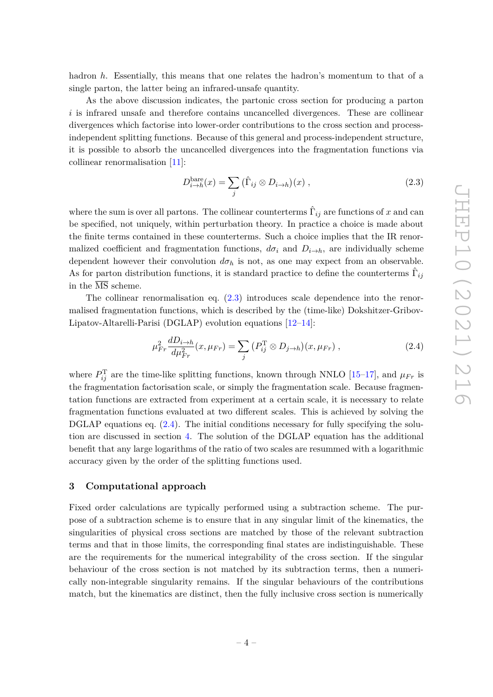hadron *h*. Essentially, this means that one relates the hadron's momentum to that of a single parton, the latter being an infrared-unsafe quantity.

As the above discussion indicates, the partonic cross section for producing a parton *i* is infrared unsafe and therefore contains uncancelled divergences. These are collinear divergences which factorise into lower-order contributions to the cross section and processindependent splitting functions. Because of this general and process-independent structure, it is possible to absorb the uncancelled divergences into the fragmentation functions via collinear renormalisation [\[11\]](#page-26-3):

<span id="page-4-1"></span>
$$
D_{i \to h}^{\text{bare}}(x) = \sum_{j} (\hat{\Gamma}_{ij} \otimes D_{i \to h})(x) , \qquad (2.3)
$$

where the sum is over all partons. The collinear counterterms  $\hat{\Gamma}_{ij}$  are functions of *x* and can be specified, not uniquely, within perturbation theory. In practice a choice is made about the finite terms contained in these counterterms. Such a choice implies that the IR renormalized coefficient and fragmentation functions,  $d\sigma_i$  and  $D_{i\to h}$ , are individually scheme dependent however their convolution  $d\sigma_h$  is not, as one may expect from an observable. As for parton distribution functions, it is standard practice to define the counterterms  $\hat{\Gamma}_{ij}$ in the  $\overline{\text{MS}}$  scheme.

The collinear renormalisation eq. [\(2.3\)](#page-4-1) introduces scale dependence into the renormalised fragmentation functions, which is described by the (time-like) Dokshitzer-Gribov-Lipatov-Altarelli-Parisi (DGLAP) evolution equations [\[12–](#page-26-4)[14\]](#page-26-5):

<span id="page-4-2"></span>
$$
\mu_{Fr}^2 \frac{dD_{i\to h}}{d\mu_{Fr}^2}(x,\mu_{Fr}) = \sum_j \left(P_{ij}^T \otimes D_{j\to h}\right)(x,\mu_{Fr})\,,\tag{2.4}
$$

where  $P_{ij}^{\mathrm{T}}$  are the time-like splitting functions, known through NNLO [\[15](#page-26-6)[–17\]](#page-26-7), and  $\mu_{Fr}$  is the fragmentation factorisation scale, or simply the fragmentation scale. Because fragmentation functions are extracted from experiment at a certain scale, it is necessary to relate fragmentation functions evaluated at two different scales. This is achieved by solving the DGLAP equations eq.  $(2.4)$ . The initial conditions necessary for fully specifying the solution are discussed in section [4.](#page-9-0) The solution of the DGLAP equation has the additional benefit that any large logarithms of the ratio of two scales are resummed with a logarithmic accuracy given by the order of the splitting functions used.

## <span id="page-4-0"></span>**3 Computational approach**

Fixed order calculations are typically performed using a subtraction scheme. The purpose of a subtraction scheme is to ensure that in any singular limit of the kinematics, the singularities of physical cross sections are matched by those of the relevant subtraction terms and that in those limits, the corresponding final states are indistinguishable. These are the requirements for the numerical integrability of the cross section. If the singular behaviour of the cross section is not matched by its subtraction terms, then a numerically non-integrable singularity remains. If the singular behaviours of the contributions match, but the kinematics are distinct, then the fully inclusive cross section is numerically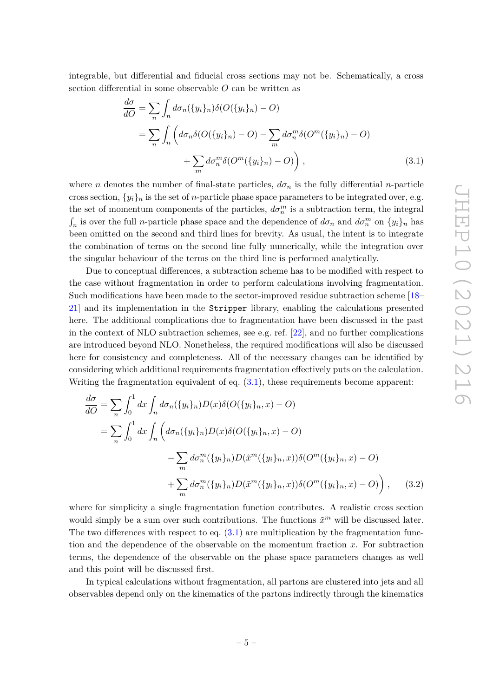integrable, but differential and fiducial cross sections may not be. Schematically, a cross section differential in some observable *O* can be written as

<span id="page-5-0"></span>
$$
\frac{d\sigma}{dO} = \sum_{n} \int_{n} d\sigma_{n}(\{y_{i}\}_{n}) \delta(O(\{y_{i}\}_{n}) - O)
$$
  
\n
$$
= \sum_{n} \int_{n} \left( d\sigma_{n} \delta(O(\{y_{i}\}_{n}) - O) - \sum_{m} d\sigma_{n}^{m} \delta(O^{m}(\{y_{i}\}_{n}) - O) + \sum_{m} d\sigma_{n}^{m} \delta(O^{m}(\{y_{i}\}_{n}) - O) \right),
$$
\n(3.1)

where *n* denotes the number of final-state particles,  $d\sigma_n$  is the fully differential *n*-particle cross section,  $\{y_i\}_n$  is the set of *n*-particle phase space parameters to be integrated over, e.g. the set of momentum components of the particles,  $d\sigma_n^m$  is a subtraction term, the integral  $\int_n$  is over the full *n*-particle phase space and the dependence of  $d\sigma_n$  and  $d\sigma_n^m$  on  $\{y_i\}_n$  has been omitted on the second and third lines for brevity. As usual, the intent is to integrate the combination of terms on the second line fully numerically, while the integration over the singular behaviour of the terms on the third line is performed analytically.

Due to conceptual differences, a subtraction scheme has to be modified with respect to the case without fragmentation in order to perform calculations involving fragmentation. Such modifications have been made to the sector-improved residue subtraction scheme [\[18–](#page-26-8) [21\]](#page-26-9) and its implementation in the Stripper library, enabling the calculations presented here. The additional complications due to fragmentation have been discussed in the past in the context of NLO subtraction schemes, see e.g. ref. [\[22\]](#page-26-10), and no further complications are introduced beyond NLO. Nonetheless, the required modifications will also be discussed here for consistency and completeness. All of the necessary changes can be identified by considering which additional requirements fragmentation effectively puts on the calculation. Writing the fragmentation equivalent of eq.  $(3.1)$ , these requirements become apparent:

<span id="page-5-1"></span>
$$
\frac{d\sigma}{dO} = \sum_{n} \int_{0}^{1} dx \int_{n} d\sigma_{n}(\{y_{i}\}_{n}) D(x) \delta(O(\{y_{i}\}_{n}, x) - O)
$$
  
\n
$$
= \sum_{n} \int_{0}^{1} dx \int_{n} \left( d\sigma_{n}(\{y_{i}\}_{n}) D(x) \delta(O(\{y_{i}\}_{n}, x) - O) - \sum_{m} d\sigma_{n}^{m}(\{y_{i}\}_{n}) D(\tilde{x}^{m}(\{y_{i}\}_{n}, x)) \delta(O^{m}(\{y_{i}\}_{n}, x) - O) + \sum_{m} d\sigma_{n}^{m}(\{y_{i}\}_{n}) D(\tilde{x}^{m}(\{y_{i}\}_{n}, x)) \delta(O^{m}(\{y_{i}\}_{n}, x) - O) \right), \quad (3.2)
$$

where for simplicity a single fragmentation function contributes. A realistic cross section would simply be a sum over such contributions. The functions  $\tilde{x}^m$  will be discussed later. The two differences with respect to eq.  $(3.1)$  are multiplication by the fragmentation function and the dependence of the observable on the momentum fraction *x*. For subtraction terms, the dependence of the observable on the phase space parameters changes as well and this point will be discussed first.

In typical calculations without fragmentation, all partons are clustered into jets and all observables depend only on the kinematics of the partons indirectly through the kinematics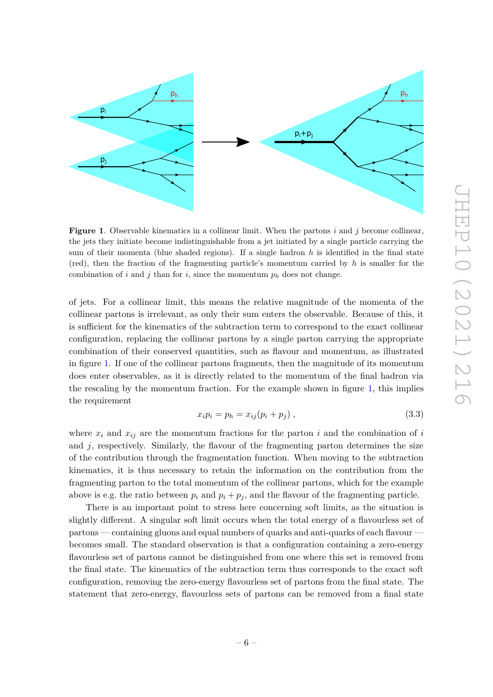

<span id="page-6-0"></span>**Figure 1**. Observable kinematics in a collinear limit. When the partons *i* and *j* become collinear, the jets they initiate become indistinguishable from a jet initiated by a single particle carrying the sum of their momenta (blue shaded regions). If a single hadron *h* is identified in the final state (red), then the fraction of the fragmenting particle's momentum carried by *h* is smaller for the combination of *i* and *j* than for *i*, since the momentum  $p_h$  does not change.

of jets. For a collinear limit, this means the relative magnitude of the momenta of the collinear partons is irrelevant, as only their sum enters the observable. Because of this, it is sufficient for the kinematics of the subtraction term to correspond to the exact collinear configuration, replacing the collinear partons by a single parton carrying the appropriate combination of their conserved quantities, such as flavour and momentum, as illustrated in figure [1.](#page-6-0) If one of the collinear partons fragments, then the magnitude of its momentum does enter observables, as it is directly related to the momentum of the final hadron via the rescaling by the momentum fraction. For the example shown in figure [1,](#page-6-0) this implies the requirement

$$
x_i p_i = p_h = x_{ij} (p_i + p_j) \t\t(3.3)
$$

where  $x_i$  and  $x_{ij}$  are the momentum fractions for the parton *i* and the combination of *i* and  $j$ , respectively. Similarly, the flavour of the fragmenting parton determines the size of the contribution through the fragmentation function. When moving to the subtraction kinematics, it is thus necessary to retain the information on the contribution from the fragmenting parton to the total momentum of the collinear partons, which for the example above is e.g. the ratio between  $p_i$  and  $p_i + p_j$ , and the flavour of the fragmenting particle.

There is an important point to stress here concerning soft limits, as the situation is slightly different. A singular soft limit occurs when the total energy of a flavourless set of partons — containing gluons and equal numbers of quarks and anti-quarks of each flavour becomes small. The standard observation is that a configuration containing a zero-energy flavourless set of partons cannot be distinguished from one where this set is removed from the final state. The kinematics of the subtraction term thus corresponds to the exact soft configuration, removing the zero-energy flavourless set of partons from the final state. The statement that zero-energy, flavourless sets of partons can be removed from a final state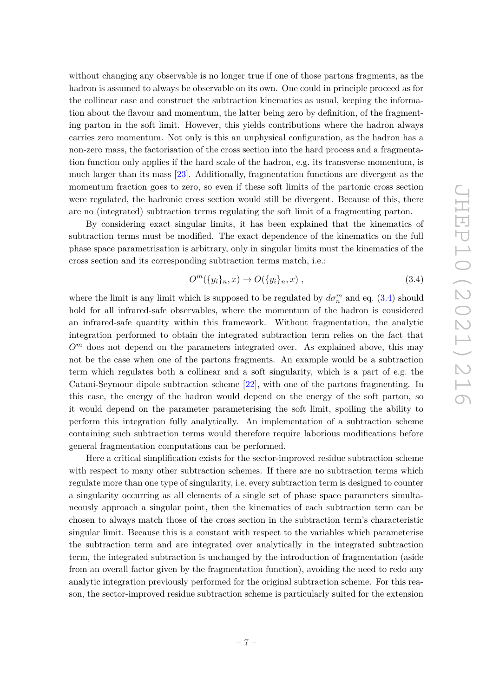without changing any observable is no longer true if one of those partons fragments, as the hadron is assumed to always be observable on its own. One could in principle proceed as for the collinear case and construct the subtraction kinematics as usual, keeping the information about the flavour and momentum, the latter being zero by definition, of the fragmenting parton in the soft limit. However, this yields contributions where the hadron always carries zero momentum. Not only is this an unphysical configuration, as the hadron has a non-zero mass, the factorisation of the cross section into the hard process and a fragmentation function only applies if the hard scale of the hadron, e.g. its transverse momentum, is much larger than its mass [\[23\]](#page-26-11). Additionally, fragmentation functions are divergent as the momentum fraction goes to zero, so even if these soft limits of the partonic cross section were regulated, the hadronic cross section would still be divergent. Because of this, there are no (integrated) subtraction terms regulating the soft limit of a fragmenting parton.

By considering exact singular limits, it has been explained that the kinematics of subtraction terms must be modified. The exact dependence of the kinematics on the full phase space parametrisation is arbitrary, only in singular limits must the kinematics of the cross section and its corresponding subtraction terms match, i.e.:

<span id="page-7-0"></span>
$$
O^m(\{y_i\}_n, x) \to O(\{y_i\}_n, x) , \qquad (3.4)
$$

where the limit is any limit which is supposed to be regulated by  $d\sigma_n^m$  and eq. [\(3.4\)](#page-7-0) should hold for all infrared-safe observables, where the momentum of the hadron is considered an infrared-safe quantity within this framework. Without fragmentation, the analytic integration performed to obtain the integrated subtraction term relies on the fact that  $O<sup>m</sup>$  does not depend on the parameters integrated over. As explained above, this may not be the case when one of the partons fragments. An example would be a subtraction term which regulates both a collinear and a soft singularity, which is a part of e.g. the Catani-Seymour dipole subtraction scheme [\[22\]](#page-26-10), with one of the partons fragmenting. In this case, the energy of the hadron would depend on the energy of the soft parton, so it would depend on the parameter parameterising the soft limit, spoiling the ability to perform this integration fully analytically. An implementation of a subtraction scheme containing such subtraction terms would therefore require laborious modifications before general fragmentation computations can be performed.

Here a critical simplification exists for the sector-improved residue subtraction scheme with respect to many other subtraction schemes. If there are no subtraction terms which regulate more than one type of singularity, i.e. every subtraction term is designed to counter a singularity occurring as all elements of a single set of phase space parameters simultaneously approach a singular point, then the kinematics of each subtraction term can be chosen to always match those of the cross section in the subtraction term's characteristic singular limit. Because this is a constant with respect to the variables which parameterise the subtraction term and are integrated over analytically in the integrated subtraction term, the integrated subtraction is unchanged by the introduction of fragmentation (aside from an overall factor given by the fragmentation function), avoiding the need to redo any analytic integration previously performed for the original subtraction scheme. For this reason, the sector-improved residue subtraction scheme is particularly suited for the extension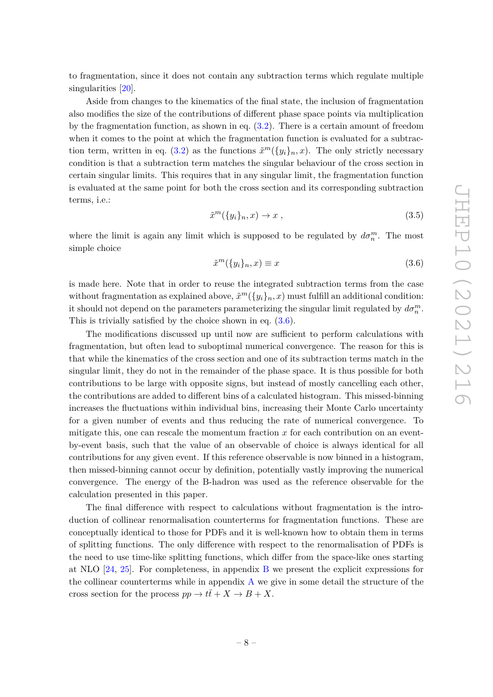to fragmentation, since it does not contain any subtraction terms which regulate multiple singularities [\[20\]](#page-26-12).

Aside from changes to the kinematics of the final state, the inclusion of fragmentation also modifies the size of the contributions of different phase space points via multiplication by the fragmentation function, as shown in eq. [\(3.2\)](#page-5-1). There is a certain amount of freedom when it comes to the point at which the fragmentation function is evaluated for a subtrac-tion term, written in eq. [\(3.2\)](#page-5-1) as the functions  $\tilde{x}^m({y_i}_n, x)$ . The only strictly necessary condition is that a subtraction term matches the singular behaviour of the cross section in certain singular limits. This requires that in any singular limit, the fragmentation function is evaluated at the same point for both the cross section and its corresponding subtraction terms, i.e.:

$$
\tilde{x}^m(\{y_i\}_n, x) \to x \tag{3.5}
$$

where the limit is again any limit which is supposed to be regulated by  $d\sigma_n^m$ . The most simple choice

<span id="page-8-0"></span>
$$
\tilde{x}^m(\{y_i\}_n, x) \equiv x \tag{3.6}
$$

is made here. Note that in order to reuse the integrated subtraction terms from the case without fragmentation as explained above,  $\tilde{x}^m({y_i}_n, x)$  must fulfill an additional condition: it should not depend on the parameters parameterizing the singular limit regulated by  $d\sigma_n^m$ . This is trivially satisfied by the choice shown in eq. [\(3.6\)](#page-8-0).

The modifications discussed up until now are sufficient to perform calculations with fragmentation, but often lead to suboptimal numerical convergence. The reason for this is that while the kinematics of the cross section and one of its subtraction terms match in the singular limit, they do not in the remainder of the phase space. It is thus possible for both contributions to be large with opposite signs, but instead of mostly cancelling each other, the contributions are added to different bins of a calculated histogram. This missed-binning increases the fluctuations within individual bins, increasing their Monte Carlo uncertainty for a given number of events and thus reducing the rate of numerical convergence. To mitigate this, one can rescale the momentum fraction *x* for each contribution on an eventby-event basis, such that the value of an observable of choice is always identical for all contributions for any given event. If this reference observable is now binned in a histogram, then missed-binning cannot occur by definition, potentially vastly improving the numerical convergence. The energy of the B-hadron was used as the reference observable for the calculation presented in this paper.

The final difference with respect to calculations without fragmentation is the introduction of collinear renormalisation counterterms for fragmentation functions. These are conceptually identical to those for PDFs and it is well-known how to obtain them in terms of splitting functions. The only difference with respect to the renormalisation of PDFs is the need to use time-like splitting functions, which differ from the space-like ones starting at NLO [\[24,](#page-26-13) [25\]](#page-26-14). For completeness, in appendix [B](#page-22-0) we present the explicit expressions for the collinear counterterms while in appendix [A](#page-21-0) we give in some detail the structure of the cross section for the process  $pp \to t\bar{t} + X \to B + X$ .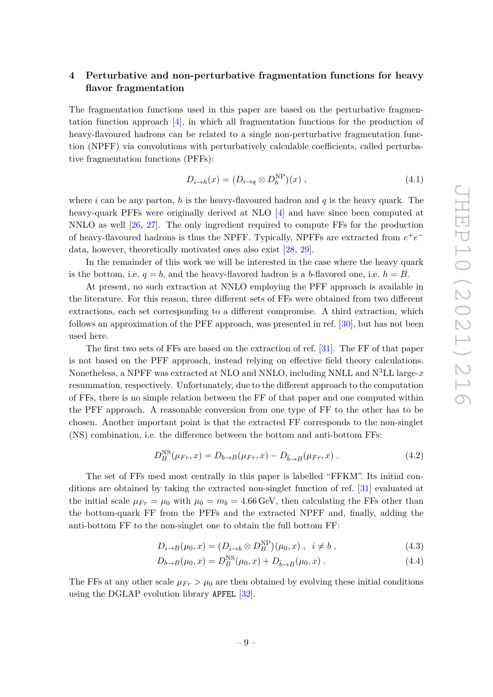# <span id="page-9-0"></span>**4 Perturbative and non-perturbative fragmentation functions for heavy flavor fragmentation**

The fragmentation functions used in this paper are based on the perturbative fragmentation function approach [\[4\]](#page-25-3), in which all fragmentation functions for the production of heavy-flavoured hadrons can be related to a single non-perturbative fragmentation function (NPFF) via convolutions with perturbatively calculable coefficients, called perturbative fragmentation functions (PFFs):

$$
D_{i \to h}(x) = (D_{i \to q} \otimes D_h^{\text{NP}})(x) , \qquad (4.1)
$$

where *i* can be any parton, *h* is the heavy-flavoured hadron and *q* is the heavy quark. The heavy-quark PFFs were originally derived at NLO [\[4\]](#page-25-3) and have since been computed at NNLO as well [\[26,](#page-26-15) [27\]](#page-27-0). The only ingredient required to compute FFs for the production of heavy-flavoured hadrons is thus the NPFF. Typically, NPFFs are extracted from  $e^+e^$ data, however, theoretically motivated ones also exist [\[28,](#page-27-1) [29\]](#page-27-2).

In the remainder of this work we will be interested in the case where the heavy quark is the bottom, i.e.  $q = b$ , and the heavy-flavored hadron is a *b*-flavored one, i.e.  $h = B$ .

At present, no such extraction at NNLO employing the PFF approach is available in the literature. For this reason, three different sets of FFs were obtained from two different extractions, each set corresponding to a different compromise. A third extraction, which follows an approximation of the PFF approach, was presented in ref. [\[30\]](#page-27-3), but has not been used here.

The first two sets of FFs are based on the extraction of ref. [\[31\]](#page-27-4). The FF of that paper is not based on the PFF approach, instead relying on effective field theory calculations. Nonetheless, a NPFF was extracted at NLO and NNLO, including NNLL and N<sup>3</sup>LL large-*x* resummation, respectively. Unfortunately, due to the different approach to the computation of FFs, there is no simple relation between the FF of that paper and one computed within the PFF approach. A reasonable conversion from one type of FF to the other has to be chosen. Another important point is that the extracted FF corresponds to the non-singlet (NS) combination, i.e. the difference between the bottom and anti-bottom FFs:

$$
D_B^{\rm NS}(\mu_{Fr}, x) = D_{b \to B}(\mu_{Fr}, x) - D_{\bar{b} \to B}(\mu_{Fr}, x) . \tag{4.2}
$$

The set of FFs used most centrally in this paper is labelled "FFKM". Its initial conditions are obtained by taking the extracted non-singlet function of ref. [\[31\]](#page-27-4) evaluated at the initial scale  $\mu_{Fr} = \mu_0$  with  $\mu_0 = m_b = 4.66 \text{ GeV}$ , then calculating the FFs other than the bottom-quark FF from the PFFs and the extracted NPFF and, finally, adding the anti-bottom FF to the non-singlet one to obtain the full bottom FF:

$$
D_{i \to B}(\mu_0, x) = (D_{i \to b} \otimes D_B^{\text{NP}})(\mu_0, x) , i \neq b , \qquad (4.3)
$$

$$
D_{b \to B}(\mu_0, x) = D_B^{\rm NS}(\mu_0, x) + D_{\bar{b} \to B}(\mu_0, x) . \tag{4.4}
$$

The FFs at any other scale  $\mu_{Fr} > \mu_0$  are then obtained by evolving these initial conditions using the DGLAP evolution library APFEL [\[32\]](#page-27-5).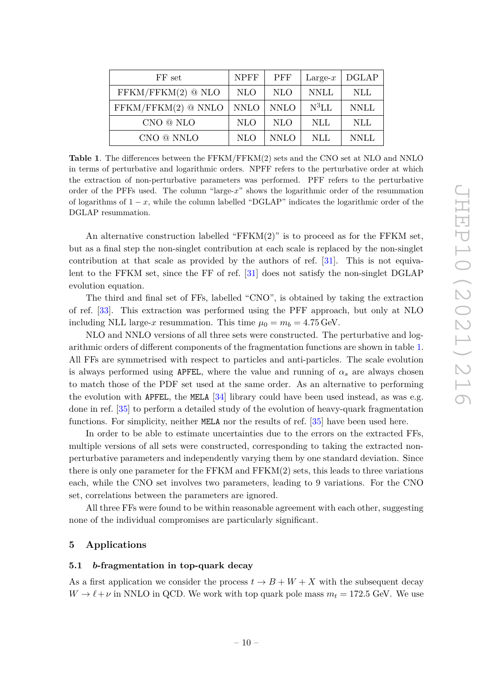| FF set                | <b>NPFF</b> | <b>PFF</b>  | Large- $x$ | <b>DGLAP</b> |
|-----------------------|-------------|-------------|------------|--------------|
| $FFKM/FFKM(2)$ @ NLO  | <b>NLO</b>  | <b>NLO</b>  | NNLL       | NLL          |
| $FFKM/FFKM(2)$ @ NNLO | <b>NNLO</b> | <b>NNLO</b> | $N^3LL$    | <b>NNLL</b>  |
| CNO @ NLO             | <b>NLO</b>  | <b>NLO</b>  | NLL.       | <b>NLL</b>   |
| CNO @ NNLO            | NLO         | <b>NNLO</b> | NLL        | <b>NNLL</b>  |

<span id="page-10-2"></span>**Table 1**. The differences between the FFKM/FFKM(2) sets and the CNO set at NLO and NNLO in terms of perturbative and logarithmic orders. NPFF refers to the perturbative order at which the extraction of non-perturbative parameters was performed. PFF refers to the perturbative order of the PFFs used. The column "large-*x*" shows the logarithmic order of the resummation of logarithms of 1 − *x*, while the column labelled "DGLAP" indicates the logarithmic order of the DGLAP resummation.

An alternative construction labelled "FFKM(2)" is to proceed as for the FFKM set, but as a final step the non-singlet contribution at each scale is replaced by the non-singlet contribution at that scale as provided by the authors of ref. [\[31\]](#page-27-4). This is not equivalent to the FFKM set, since the FF of ref. [\[31\]](#page-27-4) does not satisfy the non-singlet DGLAP evolution equation.

The third and final set of FFs, labelled "CNO", is obtained by taking the extraction of ref. [\[33\]](#page-27-6). This extraction was performed using the PFF approach, but only at NLO including NLL large-*x* resummation. This time  $\mu_0 = m_b = 4.75 \,\text{GeV}$ .

NLO and NNLO versions of all three sets were constructed. The perturbative and logarithmic orders of different components of the fragmentation functions are shown in table [1.](#page-10-2) All FFs are symmetrised with respect to particles and anti-particles. The scale evolution is always performed using APFEL, where the value and running of  $\alpha_s$  are always chosen to match those of the PDF set used at the same order. As an alternative to performing the evolution with APFEL, the MELA  $[34]$  library could have been used instead, as was e.g. done in ref. [\[35\]](#page-27-8) to perform a detailed study of the evolution of heavy-quark fragmentation functions. For simplicity, neither MELA nor the results of ref. [\[35\]](#page-27-8) have been used here.

In order to be able to estimate uncertainties due to the errors on the extracted FFs, multiple versions of all sets were constructed, corresponding to taking the extracted nonperturbative parameters and independently varying them by one standard deviation. Since there is only one parameter for the FFKM and FFKM(2) sets, this leads to three variations each, while the CNO set involves two parameters, leading to 9 variations. For the CNO set, correlations between the parameters are ignored.

All three FFs were found to be within reasonable agreement with each other, suggesting none of the individual compromises are particularly significant.

# <span id="page-10-0"></span>**5 Applications**

#### <span id="page-10-1"></span>**5.1** *b***-fragmentation in top-quark decay**

As a first application we consider the process  $t \to B + W + X$  with the subsequent decay  $W \rightarrow \ell + \nu$  in NNLO in QCD. We work with top quark pole mass  $m_t = 172.5$  GeV. We use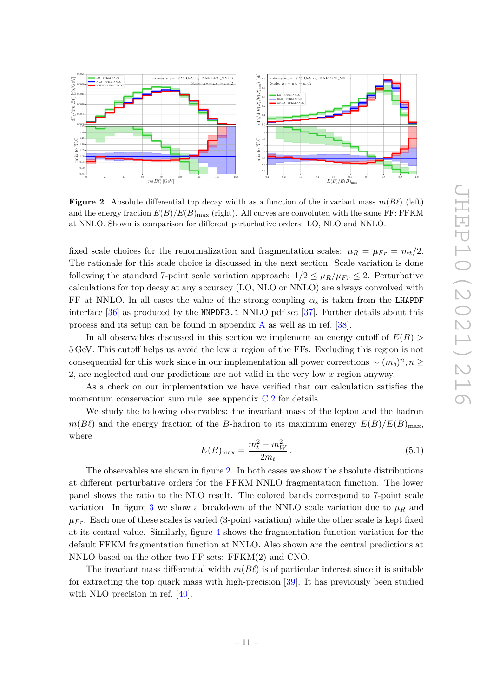

<span id="page-11-0"></span>**Figure 2.** Absolute differential top decay width as a function of the invariant mass  $m(B\ell)$  (left) and the energy fraction  $E(B)/E(B)_{\text{max}}$  (right). All curves are convoluted with the same FF: FFKM at NNLO. Shown is comparison for different perturbative orders: LO, NLO and NNLO.

fixed scale choices for the renormalization and fragmentation scales:  $\mu_R = \mu_{Fr} = m_t/2$ . The rationale for this scale choice is discussed in the next section. Scale variation is done following the standard 7-point scale variation approach:  $1/2 \leq \mu_R/\mu_{Fr} \leq 2$ . Perturbative calculations for top decay at any accuracy (LO, NLO or NNLO) are always convolved with FF at NNLO. In all cases the value of the strong coupling  $\alpha_s$  is taken from the LHAPDF interface [\[36\]](#page-27-9) as produced by the NNPDF3.1 NNLO pdf set [\[37\]](#page-27-10). Further details about this process and its setup can be found in appendix  $\Lambda$  as well as in ref. [\[38\]](#page-27-11).

In all observables discussed in this section we implement an energy cutoff of *E*(*B*) *>* 5 GeV. This cutoff helps us avoid the low *x* region of the FFs. Excluding this region is not consequential for this work since in our implementation all power corrections  $\sim (m_b)^n, n \geq$ 2, are neglected and our predictions are not valid in the very low *x* region anyway.

As a check on our implementation we have verified that our calculation satisfies the momentum conservation sum rule, see appendix  $C<sub>1</sub>2$  for details.

We study the following observables: the invariant mass of the lepton and the hadron  $m(B\ell)$  and the energy fraction of the *B*-hadron to its maximum energy  $E(B)/E(B)_{\text{max}}$ , where

<span id="page-11-1"></span>
$$
E(B)_{\text{max}} = \frac{m_t^2 - m_W^2}{2m_t} \,. \tag{5.1}
$$

The observables are shown in figure [2.](#page-11-0) In both cases we show the absolute distributions at different perturbative orders for the FFKM NNLO fragmentation function. The lower panel shows the ratio to the NLO result. The colored bands correspond to 7-point scale variation. In figure [3](#page-12-1) we show a breakdown of the NNLO scale variation due to  $\mu_R$  and  $\mu_{Fr}$ . Each one of these scales is varied (3-point variation) while the other scale is kept fixed at its central value. Similarly, figure [4](#page-12-2) shows the fragmentation function variation for the default FFKM fragmentation function at NNLO. Also shown are the central predictions at NNLO based on the other two FF sets: FFKM(2) and CNO.

The invariant mass differential width  $m(B\ell)$  is of particular interest since it is suitable for extracting the top quark mass with high-precision [\[39\]](#page-27-12). It has previously been studied with NLO precision in ref. [\[40\]](#page-27-13).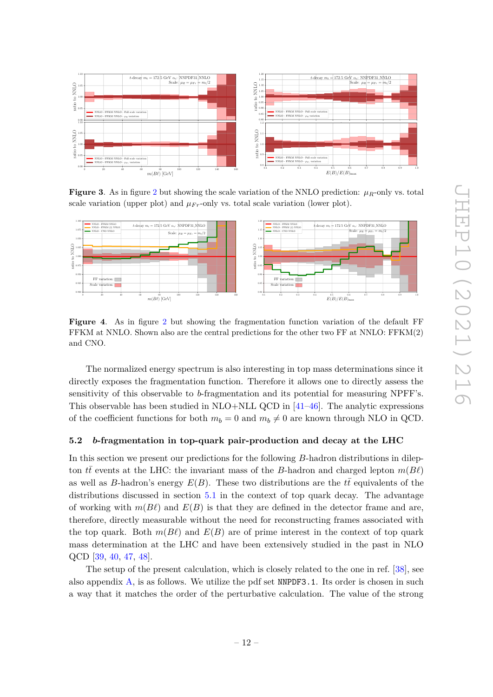

<span id="page-12-1"></span>**Figure 3.** As in figure [2](#page-11-0) but showing the scale variation of the NNLO prediction:  $\mu_R$ -only vs. total scale variation (upper plot) and  $\mu_{Fr}$ -only vs. total scale variation (lower plot).



<span id="page-12-2"></span>**Figure 4**. As in figure [2](#page-11-0) but showing the fragmentation function variation of the default FF FFKM at NNLO. Shown also are the central predictions for the other two FF at NNLO: FFKM(2) and CNO.

The normalized energy spectrum is also interesting in top mass determinations since it directly exposes the fragmentation function. Therefore it allows one to directly assess the sensitivity of this observable to *b*-fragmentation and its potential for measuring NPFF's. This observable has been studied in  $NLO+NLL$  QCD in  $[41–46]$  $[41–46]$ . The analytic expressions of the coefficient functions for both  $m_b = 0$  and  $m_b \neq 0$  are known through NLO in QCD.

#### <span id="page-12-0"></span>**5.2** *b***-fragmentation in top-quark pair-production and decay at the LHC**

In this section we present our predictions for the following *B*-hadron distributions in dilepton *tt* events at the LHC: the invariant mass of the *B*-hadron and charged lepton  $m(B\ell)$ as well as *B*-hadron's energy  $E(B)$ . These two distributions are the  $t\bar{t}$  equivalents of the distributions discussed in section [5.1](#page-10-1) in the context of top quark decay. The advantage of working with  $m(B\ell)$  and  $E(B)$  is that they are defined in the detector frame and are, therefore, directly measurable without the need for reconstructing frames associated with the top quark. Both  $m(B\ell)$  and  $E(B)$  are of prime interest in the context of top quark mass determination at the LHC and have been extensively studied in the past in NLO QCD [\[39,](#page-27-12) [40,](#page-27-13) [47,](#page-28-1) [48\]](#page-28-2).

The setup of the present calculation, which is closely related to the one in ref. [\[38\]](#page-27-11), see also appendix  $\overline{A}$ , is as follows. We utilize the pdf set NNPDF3.1. Its order is chosen in such a way that it matches the order of the perturbative calculation. The value of the strong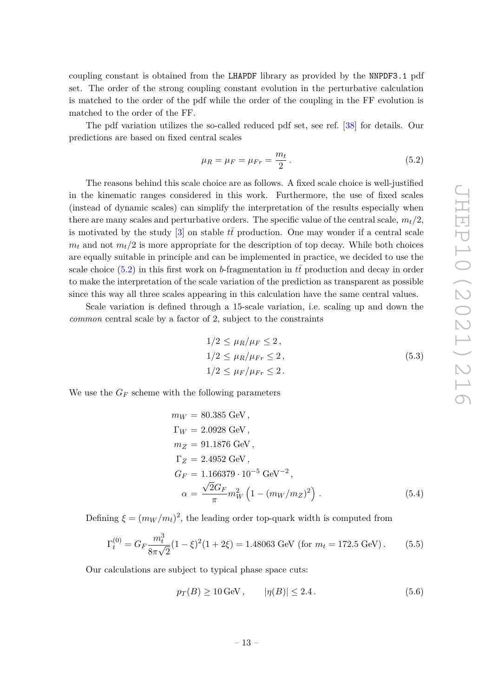coupling constant is obtained from the LHAPDF library as provided by the NNPDF3.1 pdf set. The order of the strong coupling constant evolution in the perturbative calculation is matched to the order of the pdf while the order of the coupling in the FF evolution is matched to the order of the FF.

The pdf variation utilizes the so-called reduced pdf set, see ref. [\[38\]](#page-27-11) for details. Our predictions are based on fixed central scales

<span id="page-13-0"></span>
$$
\mu_R = \mu_F = \mu_{Fr} = \frac{m_t}{2} \,. \tag{5.2}
$$

The reasons behind this scale choice are as follows. A fixed scale choice is well-justified in the kinematic ranges considered in this work. Furthermore, the use of fixed scales (instead of dynamic scales) can simplify the interpretation of the results especially when there are many scales and perturbative orders. The specific value of the central scale, *mt/*2, is motivated by the study  $[3]$  on stable  $t\bar{t}$  production. One may wonder if a central scale  $m_t$  and not  $m_t/2$  is more appropriate for the description of top decay. While both choices are equally suitable in principle and can be implemented in practice, we decided to use the scale choice  $(5.2)$  in this first work on *b*-fragmentation in  $t\bar{t}$  production and decay in order to make the interpretation of the scale variation of the prediction as transparent as possible since this way all three scales appearing in this calculation have the same central values.

Scale variation is defined through a 15-scale variation, i.e. scaling up and down the *common* central scale by a factor of 2, subject to the constraints

<span id="page-13-2"></span>
$$
1/2 \leq \mu_R/\mu_F \leq 2,
$$
  
\n
$$
1/2 \leq \mu_R/\mu_{Fr} \leq 2,
$$
  
\n
$$
1/2 \leq \mu_F/\mu_{Fr} \leq 2.
$$
  
\n(5.3)

We use the  $G_F$  scheme with the following parameters

<span id="page-13-3"></span>
$$
m_W = 80.385 \text{ GeV},
$$
  
\n
$$
\Gamma_W = 2.0928 \text{ GeV},
$$
  
\n
$$
m_Z = 91.1876 \text{ GeV},
$$
  
\n
$$
\Gamma_Z = 2.4952 \text{ GeV},
$$
  
\n
$$
G_F = 1.166379 \cdot 10^{-5} \text{ GeV}^{-2},
$$
  
\n
$$
\alpha = \frac{\sqrt{2}G_F}{\pi} m_W^2 \left(1 - (m_W/m_Z)^2\right).
$$
 (5.4)

Defining  $\xi = (m_W/m_t)^2$ , the leading order top-quark width is computed from

$$
\Gamma_t^{(0)} = G_F \frac{m_t^3}{8\pi\sqrt{2}} (1 - \xi)^2 (1 + 2\xi) = 1.48063 \text{ GeV (for } m_t = 172.5 \text{ GeV}). \tag{5.5}
$$

Our calculations are subject to typical phase space cuts:

<span id="page-13-1"></span>
$$
p_T(B) \ge 10 \,\text{GeV}, \qquad |\eta(B)| \le 2.4. \tag{5.6}
$$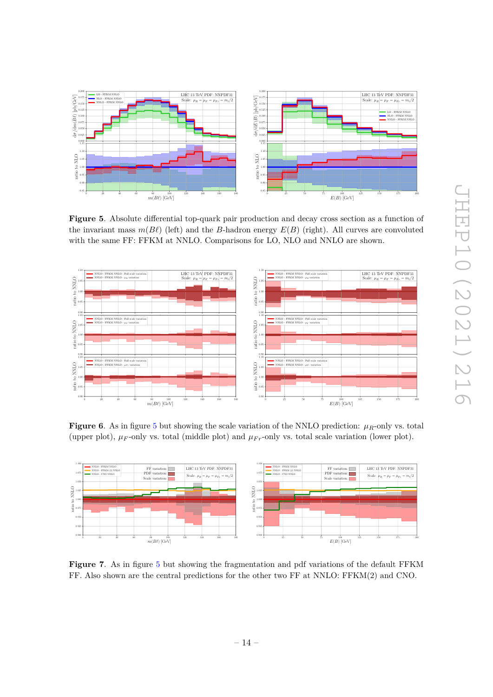

<span id="page-14-0"></span>**Figure 5**. Absolute differential top-quark pair production and decay cross section as a function of the invariant mass  $m(B\ell)$  (left) and the *B*-hadron energy  $E(B)$  (right). All curves are convoluted with the same FF: FFKM at NNLO. Comparisons for LO, NLO and NNLO are shown.



<span id="page-14-1"></span>**Figure 6**. As in figure [5](#page-14-0) but showing the scale variation of the NNLO prediction:  $\mu_R$ -only vs. total (upper plot),  $\mu_F$ -only vs. total (middle plot) and  $\mu_{Fr}$ -only vs. total scale variation (lower plot).



<span id="page-14-2"></span>**Figure 7**. As in figure [5](#page-14-0) but showing the fragmentation and pdf variations of the default FFKM FF. Also shown are the central predictions for the other two FF at NNLO: FFKM(2) and CNO.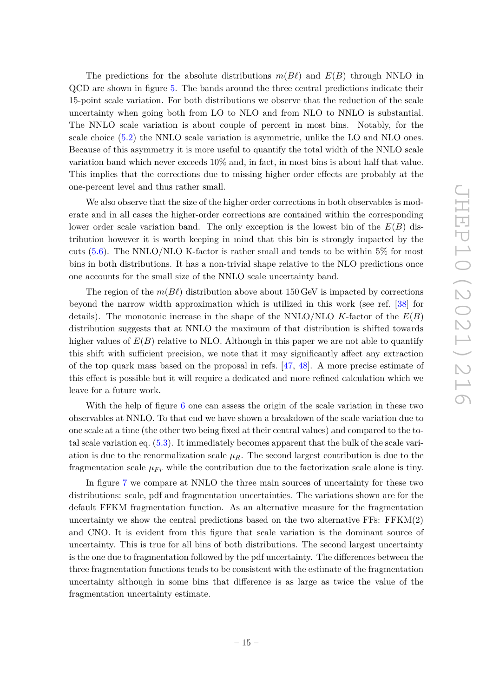The predictions for the absolute distributions  $m(B\ell)$  and  $E(B)$  through NNLO in QCD are shown in figure [5.](#page-14-0) The bands around the three central predictions indicate their 15-point scale variation. For both distributions we observe that the reduction of the scale uncertainty when going both from LO to NLO and from NLO to NNLO is substantial. The NNLO scale variation is about couple of percent in most bins. Notably, for the scale choice [\(5.2\)](#page-13-0) the NNLO scale variation is asymmetric, unlike the LO and NLO ones. Because of this asymmetry it is more useful to quantify the total width of the NNLO scale variation band which never exceeds 10% and, in fact, in most bins is about half that value. This implies that the corrections due to missing higher order effects are probably at the one-percent level and thus rather small.

We also observe that the size of the higher order corrections in both observables is moderate and in all cases the higher-order corrections are contained within the corresponding lower order scale variation band. The only exception is the lowest bin of the *E*(*B*) distribution however it is worth keeping in mind that this bin is strongly impacted by the cuts  $(5.6)$ . The NNLO/NLO K-factor is rather small and tends to be within 5% for most bins in both distributions. It has a non-trivial shape relative to the NLO predictions once one accounts for the small size of the NNLO scale uncertainty band.

The region of the  $m(B\ell)$  distribution above about 150 GeV is impacted by corrections beyond the narrow width approximation which is utilized in this work (see ref. [\[38\]](#page-27-11) for details). The monotonic increase in the shape of the NNLO/NLO *K*-factor of the *E*(*B*) distribution suggests that at NNLO the maximum of that distribution is shifted towards higher values of  $E(B)$  relative to NLO. Although in this paper we are not able to quantify this shift with sufficient precision, we note that it may significantly affect any extraction of the top quark mass based on the proposal in refs. [\[47,](#page-28-1) [48\]](#page-28-2). A more precise estimate of this effect is possible but it will require a dedicated and more refined calculation which we leave for a future work.

With the help of figure [6](#page-14-1) one can assess the origin of the scale variation in these two observables at NNLO. To that end we have shown a breakdown of the scale variation due to one scale at a time (the other two being fixed at their central values) and compared to the total scale variation eq. [\(5.3\)](#page-13-2). It immediately becomes apparent that the bulk of the scale variation is due to the renormalization scale  $\mu_R$ . The second largest contribution is due to the fragmentation scale  $\mu_{Fr}$  while the contribution due to the factorization scale alone is tiny.

In figure [7](#page-14-2) we compare at NNLO the three main sources of uncertainty for these two distributions: scale, pdf and fragmentation uncertainties. The variations shown are for the default FFKM fragmentation function. As an alternative measure for the fragmentation uncertainty we show the central predictions based on the two alternative  $FFs$ :  $FFKM(2)$ and CNO. It is evident from this figure that scale variation is the dominant source of uncertainty. This is true for all bins of both distributions. The second largest uncertainty is the one due to fragmentation followed by the pdf uncertainty. The differences between the three fragmentation functions tends to be consistent with the estimate of the fragmentation uncertainty although in some bins that difference is as large as twice the value of the fragmentation uncertainty estimate.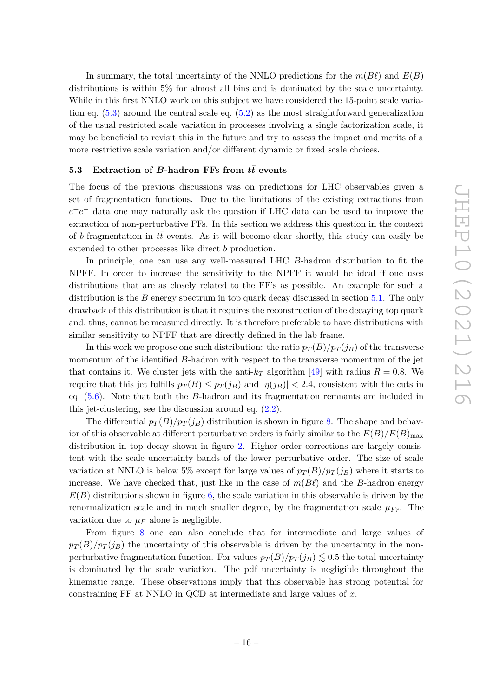In summary, the total uncertainty of the NNLO predictions for the  $m(B\ell)$  and  $E(B)$ distributions is within 5% for almost all bins and is dominated by the scale uncertainty. While in this first NNLO work on this subject we have considered the 15-point scale variation eq.  $(5.3)$  around the central scale eq.  $(5.2)$  as the most straightforward generalization of the usual restricted scale variation in processes involving a single factorization scale, it may be beneficial to revisit this in the future and try to assess the impact and merits of a more restrictive scale variation and/or different dynamic or fixed scale choices.

#### <span id="page-16-0"></span>**5.3** Extraction of *B***-hadron FFs from**  $t\bar{t}$  **events**

The focus of the previous discussions was on predictions for LHC observables given a set of fragmentation functions. Due to the limitations of the existing extractions from *e*<sup>+</sup>*e*<sup>−</sup> data one may naturally ask the question if LHC data can be used to improve the extraction of non-perturbative FFs. In this section we address this question in the context of *b*-fragmentation in *tt* events. As it will become clear shortly, this study can easily be extended to other processes like direct *b* production.

In principle, one can use any well-measured LHC *B*-hadron distribution to fit the NPFF. In order to increase the sensitivity to the NPFF it would be ideal if one uses distributions that are as closely related to the FF's as possible. An example for such a distribution is the *B* energy spectrum in top quark decay discussed in section [5.1.](#page-10-1) The only drawback of this distribution is that it requires the reconstruction of the decaying top quark and, thus, cannot be measured directly. It is therefore preferable to have distributions with similar sensitivity to NPFF that are directly defined in the lab frame.

In this work we propose one such distribution: the ratio  $p_T(B)/p_T(j_B)$  of the transverse momentum of the identified *B*-hadron with respect to the transverse momentum of the jet that contains it. We cluster jets with the anti- $k_T$  algorithm [\[49\]](#page-28-3) with radius  $R = 0.8$ . We require that this jet fulfills  $p_T(B) \leq p_T(j_B)$  and  $|n(j_B)| < 2.4$ , consistent with the cuts in eq. [\(5.6\)](#page-13-1). Note that both the *B*-hadron and its fragmentation remnants are included in this jet-clustering, see the discussion around eq. [\(2.2\)](#page-3-1).

The differential  $p_T(B)/p_T(j_B)$  distribution is shown in figure [8.](#page-17-0) The shape and behavior of this observable at different perturbative orders is fairly similar to the  $E(B)/E(B)_{\text{max}}$ distribution in top decay shown in figure [2.](#page-11-0) Higher order corrections are largely consistent with the scale uncertainty bands of the lower perturbative order. The size of scale variation at NNLO is below 5% except for large values of  $p_T(B)/p_T(j_B)$  where it starts to increase. We have checked that, just like in the case of  $m(B\ell)$  and the *B*-hadron energy  $E(B)$  distributions shown in figure [6,](#page-14-1) the scale variation in this observable is driven by the renormalization scale and in much smaller degree, by the fragmentation scale  $\mu_{Fr}$ . The variation due to  $\mu_F$  alone is negligible.

From figure [8](#page-17-0) one can also conclude that for intermediate and large values of  $p_T(B)/p_T(j_B)$  the uncertainty of this observable is driven by the uncertainty in the nonperturbative fragmentation function. For values  $p_T(B)/p_T(j_B) \lesssim 0.5$  the total uncertainty is dominated by the scale variation. The pdf uncertainty is negligible throughout the kinematic range. These observations imply that this observable has strong potential for constraining FF at NNLO in QCD at intermediate and large values of *x*.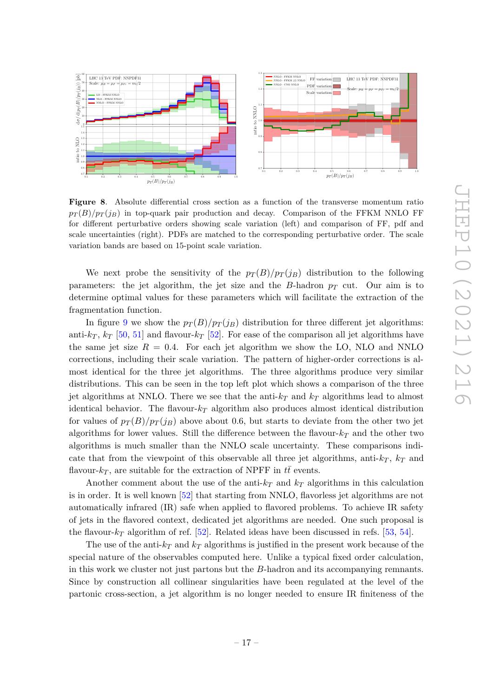

<span id="page-17-0"></span>**Figure 8**. Absolute differential cross section as a function of the transverse momentum ratio  $p_T(B)/p_T(j)$  in top-quark pair production and decay. Comparison of the FFKM NNLO FF for different perturbative orders showing scale variation (left) and comparison of FF, pdf and scale uncertainties (right). PDFs are matched to the corresponding perturbative order. The scale variation bands are based on 15-point scale variation.

We next probe the sensitivity of the  $p_T(B)/p_T(j_B)$  distribution to the following parameters: the jet algorithm, the jet size and the *B*-hadron  $p_T$  cut. Our aim is to determine optimal values for these parameters which will facilitate the extraction of the fragmentation function.

In figure [9](#page-18-0) we show the  $p_T(B)/p_T(j_B)$  distribution for three different jet algorithms: anti- $k_T$ ,  $k_T$  [\[50,](#page-28-4) [51\]](#page-28-5) and flavour- $k_T$  [\[52\]](#page-28-6). For ease of the comparison all jet algorithms have the same jet size  $R = 0.4$ . For each jet algorithm we show the LO, NLO and NNLO corrections, including their scale variation. The pattern of higher-order corrections is almost identical for the three jet algorithms. The three algorithms produce very similar distributions. This can be seen in the top left plot which shows a comparison of the three jet algorithms at NNLO. There we see that the anti-*k<sup>T</sup>* and *k<sup>T</sup>* algorithms lead to almost identical behavior. The flavour-*k<sup>T</sup>* algorithm also produces almost identical distribution for values of  $p_T(B)/p_T(j_B)$  above about 0.6, but starts to deviate from the other two jet algorithms for lower values. Still the difference between the flavour- $k<sub>T</sub>$  and the other two algorithms is much smaller than the NNLO scale uncertainty. These comparisons indicate that from the viewpoint of this observable all three jet algorithms, anti- $k_T$ ,  $k_T$  and flavour- $k_T$ , are suitable for the extraction of NPFF in  $t\bar{t}$  events.

Another comment about the use of the anti- $k_T$  and  $k_T$  algorithms in this calculation is in order. It is well known [\[52\]](#page-28-6) that starting from NNLO, flavorless jet algorithms are not automatically infrared (IR) safe when applied to flavored problems. To achieve IR safety of jets in the flavored context, dedicated jet algorithms are needed. One such proposal is the flavour- $k_T$  algorithm of ref. [\[52\]](#page-28-6). Related ideas have been discussed in refs. [\[53,](#page-28-7) [54\]](#page-28-8).

The use of the anti- $k_T$  and  $k_T$  algorithms is justified in the present work because of the special nature of the observables computed here. Unlike a typical fixed order calculation, in this work we cluster not just partons but the *B*-hadron and its accompanying remnants. Since by construction all collinear singularities have been regulated at the level of the partonic cross-section, a jet algorithm is no longer needed to ensure IR finiteness of the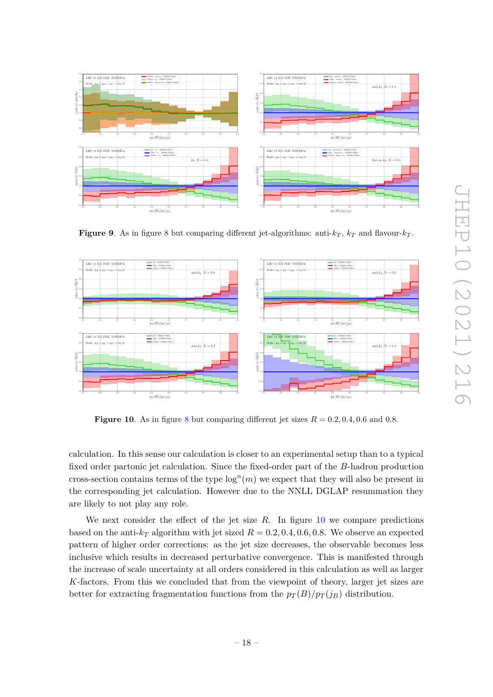

<span id="page-18-0"></span>**Figure 9.** As in figure [8](#page-17-0) but comparing different jet-algorithms: anti- $k_T$ ,  $k_T$  and flavour- $k_T$ .



<span id="page-18-1"></span>**Figure 10**. As in figure [8](#page-17-0) but comparing different jet sizes  $R = 0.2, 0.4, 0.6$  and 0.8.

calculation. In this sense our calculation is closer to an experimental setup than to a typical fixed order partonic jet calculation. Since the fixed-order part of the *B*-hadron production cross-section contains terms of the type  $log<sup>n</sup>(m)$  we expect that they will also be present in the corresponding jet calculation. However due to the NNLL DGLAP resummation they are likely to not play any role.

We next consider the effect of the jet size *R*. In figure [10](#page-18-1) we compare predictions based on the anti- $k_T$  algorithm with jet sized  $R = 0.2, 0.4, 0.6, 0.8$ . We observe an expected pattern of higher order corrections: as the jet size decreases, the observable becomes less inclusive which results in decreased perturbative convergence. This is manifested through the increase of scale uncertainty at all orders considered in this calculation as well as larger *K*-factors. From this we concluded that from the viewpoint of theory, larger jet sizes are better for extracting fragmentation functions from the  $p_T(B)/p_T(j_B)$  distribution.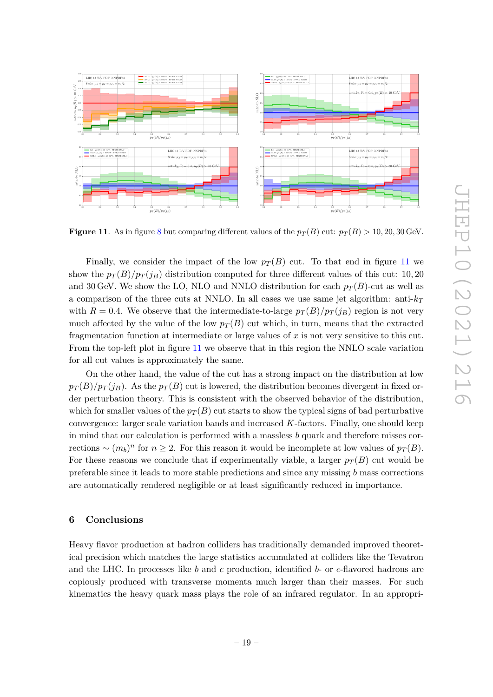

<span id="page-19-1"></span>**Figure 11**. As in figure [8](#page-17-0) but comparing different values of the  $p_T(B)$  cut:  $p_T(B) > 10, 20, 30$  GeV.

Finally, we consider the impact of the low  $p_T(B)$  cut. To that end in figure [11](#page-19-1) we show the  $p_T(B)/p_T(j_B)$  distribution computed for three different values of this cut: 10, 20 and 30 GeV. We show the LO, NLO and NNLO distribution for each  $p_T(B)$ -cut as well as a comparison of the three cuts at NNLO. In all cases we use same jet algorithm: anti-*k<sup>T</sup>* with  $R = 0.4$ . We observe that the intermediate-to-large  $p_T(B)/p_T(j_B)$  region is not very much affected by the value of the low  $p_T(B)$  cut which, in turn, means that the extracted fragmentation function at intermediate or large values of *x* is not very sensitive to this cut. From the top-left plot in figure [11](#page-19-1) we observe that in this region the NNLO scale variation for all cut values is approximately the same.

On the other hand, the value of the cut has a strong impact on the distribution at low  $p_T(B)/p_T(j_B)$ . As the  $p_T(B)$  cut is lowered, the distribution becomes divergent in fixed order perturbation theory. This is consistent with the observed behavior of the distribution, which for smaller values of the  $p_T(B)$  cut starts to show the typical signs of bad perturbative convergence: larger scale variation bands and increased *K*-factors. Finally, one should keep in mind that our calculation is performed with a massless *b* quark and therefore misses cor*rections* ∼  $(m_b)^n$  for *n* ≥ 2. For this reason it would be incomplete at low values of  $p_T(B)$ . For these reasons we conclude that if experimentally viable, a larger  $p_T(B)$  cut would be preferable since it leads to more stable predictions and since any missing *b* mass corrections are automatically rendered negligible or at least significantly reduced in importance.

#### <span id="page-19-0"></span>**6 Conclusions**

Heavy flavor production at hadron colliders has traditionally demanded improved theoretical precision which matches the large statistics accumulated at colliders like the Tevatron and the LHC. In processes like *b* and *c* production, identified *b*- or *c*-flavored hadrons are copiously produced with transverse momenta much larger than their masses. For such kinematics the heavy quark mass plays the role of an infrared regulator. In an appropri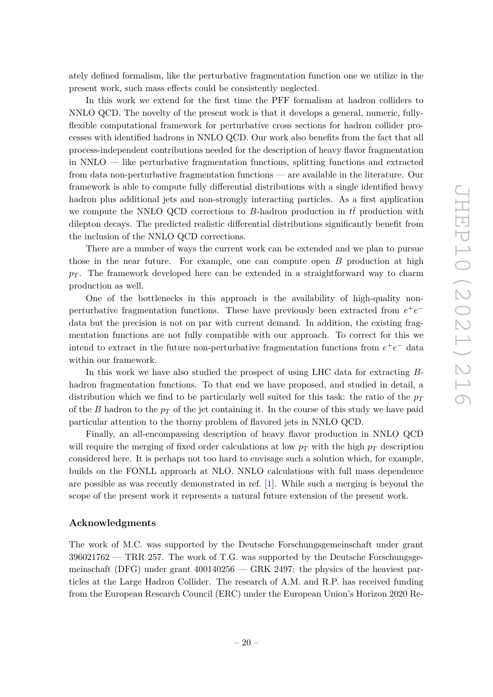ately defined formalism, like the perturbative fragmentation function one we utilize in the present work, such mass effects could be consistently neglected.

In this work we extend for the first time the PFF formalism at hadron colliders to NNLO QCD. The novelty of the present work is that it develops a general, numeric, fullyflexible computational framework for perturbative cross sections for hadron collider processes with identified hadrons in NNLO QCD. Our work also benefits from the fact that all process-independent contributions needed for the description of heavy flavor fragmentation in NNLO — like perturbative fragmentation functions, splitting functions and extracted from data non-perturbative fragmentation functions — are available in the literature. Our framework is able to compute fully differential distributions with a single identified heavy hadron plus additional jets and non-strongly interacting particles. As a first application we compute the NNLO QCD corrections to  $B$ -hadron production in  $t\bar{t}$  production with dilepton decays. The predicted realistic differential distributions significantly benefit from the inclusion of the NNLO QCD corrections.

There are a number of ways the current work can be extended and we plan to pursue those in the near future. For example, one can compute open *B* production at high  $p_T$ . The framework developed here can be extended in a straightforward way to charm production as well.

One of the bottlenecks in this approach is the availability of high-quality nonperturbative fragmentation functions. These have previously been extracted from  $e^+e^$ data but the precision is not on par with current demand. In addition, the existing fragmentation functions are not fully compatible with our approach. To correct for this we intend to extract in the future non-perturbative fragmentation functions from  $e^+e^-$  data within our framework.

In this work we have also studied the prospect of using LHC data for extracting *B*hadron fragmentation functions. To that end we have proposed, and studied in detail, a distribution which we find to be particularly well suited for this task: the ratio of the *p<sup>T</sup>* of the *B* hadron to the *p<sup>T</sup>* of the jet containing it. In the course of this study we have paid particular attention to the thorny problem of flavored jets in NNLO QCD.

Finally, an all-encompassing description of heavy flavor production in NNLO QCD will require the merging of fixed order calculations at low *p<sup>T</sup>* with the high *p<sup>T</sup>* description considered here. It is perhaps not too hard to envisage such a solution which, for example, builds on the FONLL approach at NLO. NNLO calculations with full mass dependence are possible as was recently demonstrated in ref. [\[1\]](#page-25-0). While such a merging is beyond the scope of the present work it represents a natural future extension of the present work.

### **Acknowledgments**

The work of M.C. was supported by the Deutsche Forschungsgemeinschaft under grant  $396021762$  — TRR 257. The work of T.G. was supported by the Deutsche Forschungsgemeinschaft (DFG) under grant 400140256 — GRK 2497: the physics of the heaviest particles at the Large Hadron Collider. The research of A.M. and R.P. has received funding from the European Research Council (ERC) under the European Union's Horizon 2020 Re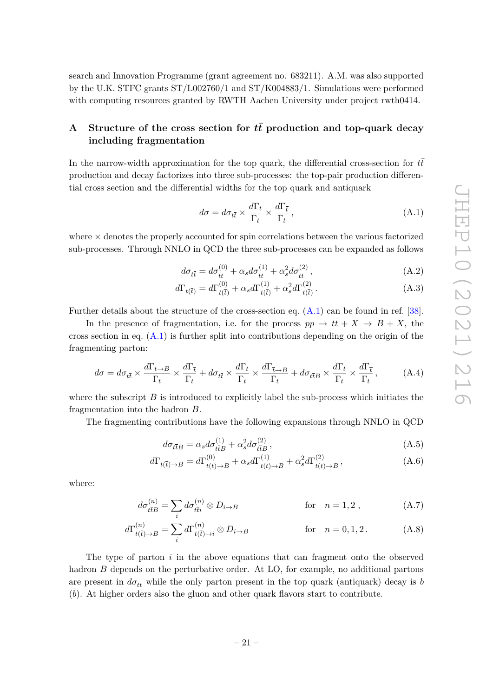search and Innovation Programme (grant agreement no. 683211). A.M. was also supported by the U.K. STFC grants ST/L002760/1 and ST/K004883/1. Simulations were performed with computing resources granted by RWTH Aachen University under project rwth0414.

# <span id="page-21-0"></span>**A** Structure of the cross section for  $t\bar{t}$  production and top-quark decay **including fragmentation**

In the narrow-width approximation for the top quark, the differential cross-section for  $t\bar{t}$ production and decay factorizes into three sub-processes: the top-pair production differential cross section and the differential widths for the top quark and antiquark

<span id="page-21-1"></span>
$$
d\sigma = d\sigma_{t\bar{t}} \times \frac{d\Gamma_t}{\Gamma_t} \times \frac{d\Gamma_{\bar{t}}}{\Gamma_t},
$$
\n(A.1)

where  $\times$  denotes the properly accounted for spin correlations between the various factorized sub-processes. Through NNLO in QCD the three sub-processes can be expanded as follows

$$
d\sigma_{t\bar{t}} = d\sigma_{t\bar{t}}^{(0)} + \alpha_s d\sigma_{t\bar{t}}^{(1)} + \alpha_s^2 d\sigma_{t\bar{t}}^{(2)} ,
$$
 (A.2)

$$
d\Gamma_{t(\bar{t})} = d\Gamma_{t(\bar{t})}^{(0)} + \alpha_s d\Gamma_{t(\bar{t})}^{(1)} + \alpha_s^2 d\Gamma_{t(\bar{t})}^{(2)}.
$$
 (A.3)

Further details about the structure of the cross-section eq.  $(A.1)$  can be found in ref. [\[38\]](#page-27-11).

In the presence of fragmentation, i.e. for the process  $pp \to t\bar{t} + X \to B + X$ , the cross section in eq.  $(A.1)$  is further split into contributions depending on the origin of the fragmenting parton:

$$
d\sigma = d\sigma_{t\bar{t}} \times \frac{d\Gamma_{t\to B}}{\Gamma_t} \times \frac{d\Gamma_{\bar{t}}}{\Gamma_t} + d\sigma_{t\bar{t}} \times \frac{d\Gamma_t}{\Gamma_t} \times \frac{d\Gamma_{\bar{t}\to B}}{\Gamma_t} + d\sigma_{t\bar{t}B} \times \frac{d\Gamma_t}{\Gamma_t} \times \frac{d\Gamma_{\bar{t}}}{\Gamma_t},\tag{A.4}
$$

where the subscript  $B$  is introduced to explicitly label the sub-process which initiates the fragmentation into the hadron *B*.

The fragmenting contributions have the following expansions through NNLO in QCD

$$
d\sigma_{t\bar{t}B} = \alpha_s d\sigma_{t\bar{t}B}^{(1)} + \alpha_s^2 d\sigma_{t\bar{t}B}^{(2)},
$$
\n(A.5)

$$
d\Gamma_{t(\bar{t})\to B} = d\Gamma_{t(\bar{t})\to B}^{(0)} + \alpha_s d\Gamma_{t(\bar{t})\to B}^{(1)} + \alpha_s^2 d\Gamma_{t(\bar{t})\to B}^{(2)},
$$
\n(A.6)

where:

$$
d\sigma_{t\bar{t}B}^{(n)} = \sum_{i} d\sigma_{t\bar{t}i}^{(n)} \otimes D_{i \to B} \qquad \text{for} \quad n = 1, 2 , \qquad (A.7)
$$

$$
d\Gamma_{t(\bar{t}) \to B}^{(n)} = \sum_{i} d\Gamma_{t(\bar{t}) \to i}^{(n)} \otimes D_{i \to B} \qquad \text{for} \quad n = 0, 1, 2. \tag{A.8}
$$

The type of parton *i* in the above equations that can fragment onto the observed hadron *B* depends on the perturbative order. At LO, for example, no additional partons are present in  $d\sigma_{t\bar{t}}$  while the only parton present in the top quark (antiquark) decay is *b*  $(\bar{b})$ . At higher orders also the gluon and other quark flavors start to contribute.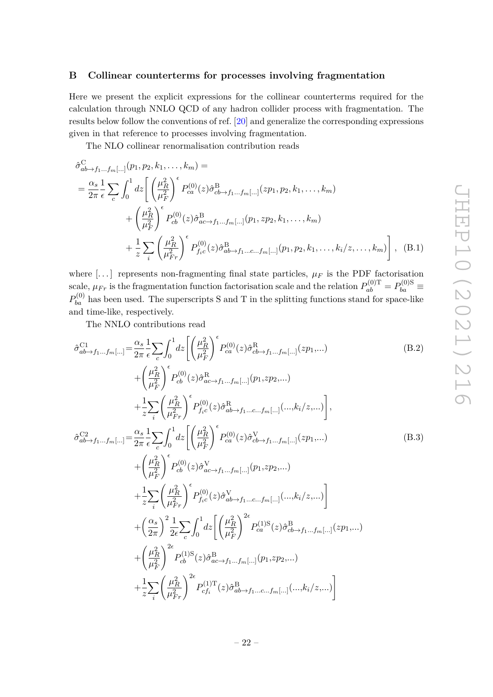#### <span id="page-22-0"></span>**B Collinear counterterms for processes involving fragmentation**

Here we present the explicit expressions for the collinear counterterms required for the calculation through NNLO QCD of any hadron collider process with fragmentation. The results below follow the conventions of ref. [\[20\]](#page-26-12) and generalize the corresponding expressions given in that reference to processes involving fragmentation.

The NLO collinear renormalisation contribution reads

$$
\hat{\sigma}_{ab \to f_1...f_m[...]}^{C} (p_1, p_2, k_1, ..., k_m) =
$$
\n
$$
= \frac{\alpha_s}{2\pi} \frac{1}{\epsilon} \sum_{c} \int_0^1 dz \left[ \left( \frac{\mu_R^2}{\mu_F^2} \right)^{\epsilon} P_{ca}^{(0)}(z) \hat{\sigma}_{cb \to f_1...f_m[...]}^{B}(z p_1, p_2, k_1, ..., k_m) + \left( \frac{\mu_R^2}{\mu_F^2} \right)^{\epsilon} P_{cb}^{(0)}(z) \hat{\sigma}_{ac \to f_1...f_m[...]}^{B}(p_1, z p_2, k_1, ..., k_m) + \frac{1}{z} \sum_{i} \left( \frac{\mu_R^2}{\mu_F^2} \right)^{\epsilon} P_{f_ic}^{(0)}(z) \hat{\sigma}_{ab \to f_1...c...f_m[...]}^{B}(p_1, p_2, k_1, ..., k_i/z, ..., k_m) \right], \quad (B.1)
$$

where  $[...]$  represents non-fragmenting final state particles,  $\mu_F$  is the PDF factorisation scale,  $\mu_{Fr}$  is the fragmentation function factorisation scale and the relation  $P_{ab}^{(0)\text{T}} = P_{ba}^{(0)\text{S}} \equiv$  $P_{ba}^{(0)}$  has been used. The superscripts S and T in the splitting functions stand for space-like and time-like, respectively.

The NNLO contributions read

$$
\hat{\sigma}_{ab \to f_1 \dots f_m[\dots]}^{C1} = \frac{\alpha_s}{2\pi} \frac{1}{\epsilon} \sum_c \int_0^1 dz \left[ \left( \frac{\mu_R^2}{\mu_F^2} \right)^\epsilon P_{ca}^{(0)}(z) \hat{\sigma}_{cb \to f_1 \dots f_m[\dots]}^{R}(z p_1, \dots) \right]
$$
\n
$$
\left( \mu_R^2 \right)^{\epsilon} P_{ca}^{(0)}(z) \hat{\sigma}_{cb \to f_1 \dots f_m[\dots]}^{R}(z p_1, \dots) \tag{B.2}
$$

$$
+\left(\frac{\mu_R}{\mu_F^2}\right) P_{cb}^{(0)}(z)\hat{\sigma}_{ac \to f_1...f_m[...]}^{\text{R}}(p_1, z p_2,...)
$$
  
+
$$
\frac{1}{z} \sum_{i} \left(\frac{\mu_R^2}{\mu_{Fr}^2}\right)^{\epsilon} P_{fic}^{(0)}(z)\hat{\sigma}_{ab \to f_1...c...f_m[...]}^{\text{R}}(...,k_i/z,...)\right],
$$

$$
\hat{\sigma}_{ab \to f_1...f_m[...]}^{C2} = \frac{\alpha_s}{2\pi} \frac{1}{\epsilon} \sum_{c} \int_0^1 dz \left[ \left( \frac{\mu_R^2}{\mu_F^2} \right)^{\epsilon} P_{ca}^{(0)}(z) \hat{\sigma}_{cb \to f_1...f_m[...]}^{V}(z p_1,...) + \left( \frac{\mu_R^2}{\mu_F^2} \right)^{\epsilon} P_{cb}^{(0)}(z) \hat{\sigma}_{ac \to f_1...f_m[...]}^{V}(p_1, z p_2,...) + \frac{1}{z} \sum_{i} \left( \frac{\mu_R^2}{\mu_{Fr}^2} \right)^{\epsilon} P_{fic}^{(0)}(z) \hat{\sigma}_{ab \to f_1...c...f_m[...]}^{V}(...,k_i/z,...) \right] + \left( \frac{\alpha_s}{2\pi} \right)^2 \frac{1}{2\epsilon} \sum_{c} \int_0^1 dz \left[ \left( \frac{\mu_R^2}{\mu_F^2} \right)^{2\epsilon} P_{ca}^{(1)S}(z) \hat{\sigma}_{cb \to f_1...f_m[...]}^{B}(z p_1,...) + \left( \frac{\mu_R^2}{\mu_F^2} \right)^{2\epsilon} P_{cb}^{(1)S}(z) \hat{\sigma}_{ac \to f_1...f_m[...]}^{B}(p_1, z p_2,...) + \frac{1}{z} \sum_{i} \left( \frac{\mu_R^2}{\mu_{Fr}^2} \right)^{2\epsilon} P_{cf_i}^{(1)T}(z) \hat{\sigma}_{ab \to f_1...c...f_m[...]}^{B}(...,k_i/z,...) \right]
$$
\n
$$
(B.3)
$$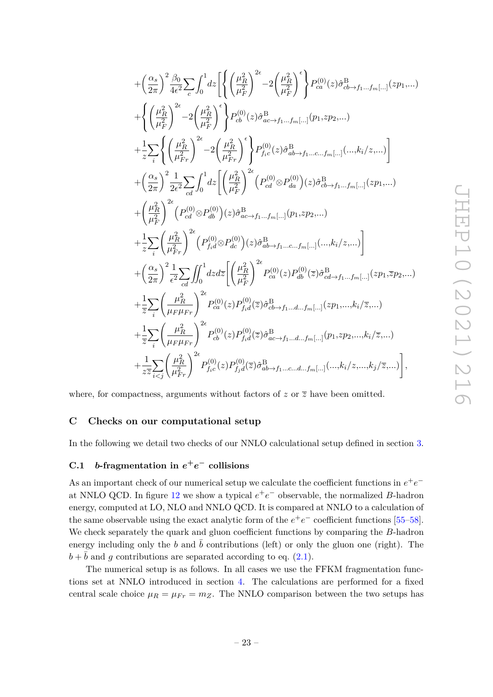$$
+ \left(\frac{\alpha_{s}}{2\pi}\right)^{2} \frac{\beta_{0}}{4\epsilon^{2}} \sum_{c} \int_{0}^{1} dz \left[ \left\{\left(\frac{\mu_{R}^{2}}{\mu_{F}^{2}}\right)^{2\epsilon} - 2\left(\frac{\mu_{R}^{2}}{\mu_{F}^{2}}\right)^{\epsilon}\right\} P_{ca}^{(0)}(z) \hat{\sigma}_{cb \to f_{1}...f_{m}[...]}^{B}(z p_{1},...)\right. \\ \left. + \left\{\left(\frac{\mu_{R}^{2}}{\mu_{F}^{2}}\right)^{2\epsilon} - 2\left(\frac{\mu_{R}^{2}}{\mu_{F}^{2}}\right)^{\epsilon}\right\} P_{cb}^{(0)}(z) \hat{\sigma}_{ac \to f_{1}...f_{m}[...]}^{B}(p_{1},z p_{2},...)\right. \\ \left. + \frac{1}{z} \sum_{i} \left\{\left(\frac{\mu_{R}^{2}}{\mu_{F}^{2}}\right)^{2\epsilon} - 2\left(\frac{\mu_{R}^{2}}{\mu_{F}^{2}}\right)^{\epsilon}\right\} P_{fc}^{(0)}(z) \hat{\sigma}_{ab \to f_{1}...c...f_{m}[...]}^{B}(-\mu_{m}^{B}(z,z...))\right] \\ + \left(\frac{\alpha_{s}}{2\pi}\right)^{2} \frac{1}{2\epsilon^{2}} \sum_{cd} \int_{0}^{1} dz \left[\left(\frac{\mu_{R}^{2}}{\mu_{F}^{2}}\right)^{2\epsilon} \left(P_{cd}^{(0)} \otimes P_{da}^{(0)}\right)(z) \hat{\sigma}_{cb \to f_{1}...f_{m}[...]}^{B}(-\mu_{m}^{B}(z p_{1},...))\right. \\ \left. + \left(\frac{\mu_{R}^{2}}{\mu_{F}^{2}}\right)^{2\epsilon} \left(P_{cd}^{(0)} \otimes P_{db}^{(0)}\right)(z) \hat{\sigma}_{ac \to f_{1}...f_{m}[...]}^{B}(p_{1},z p_{2},...)\right. \\ \left. + \frac{1}{z} \sum_{i} \left(\frac{\mu_{R}^{2}}{\mu_{F}^{2}}\right)^{2\epsilon} \left(P_{fd}^{(0)} \otimes P_{dc}^{(0)}\right)(z) \hat{\sigma}_{ab \to f_{1}...c...f_{m}[...]}^{B}(-\mu_{m}^{B}(z,z...))\right. \\ \left. + \left(\frac
$$

where, for compactness, arguments without factors of  $z$  or  $\overline{z}$  have been omitted.

## <span id="page-23-0"></span>**C Checks on our computational setup**

In the following we detail two checks of our NNLO calculational setup defined in section [3.](#page-4-0)

# <span id="page-23-1"></span>**C.1** *b***-fragmentation in**  $e^+e^-$  collisions

As an important check of our numerical setup we calculate the coefficient functions in  $e^+e^-$ at NNLO QCD. In figure [12](#page-24-1) we show a typical  $e^+e^-$  observable, the normalized *B*-hadron energy, computed at LO, NLO and NNLO QCD. It is compared at NNLO to a calculation of the same observable using the exact analytic form of the  $e^+e^-$  coefficient functions [\[55–](#page-28-9)[58\]](#page-28-10). We check separately the quark and gluon coefficient functions by comparing the *B*-hadron energy including only the *b* and  $\bar{b}$  contributions (left) or only the gluon one (right). The  $b + b$  and *g* contributions are separated according to eq. [\(2.1\)](#page-3-2).

The numerical setup is as follows. In all cases we use the FFKM fragmentation functions set at NNLO introduced in section [4.](#page-9-0) The calculations are performed for a fixed central scale choice  $\mu_R = \mu_{Fr} = m_Z$ . The NNLO comparison between the two setups has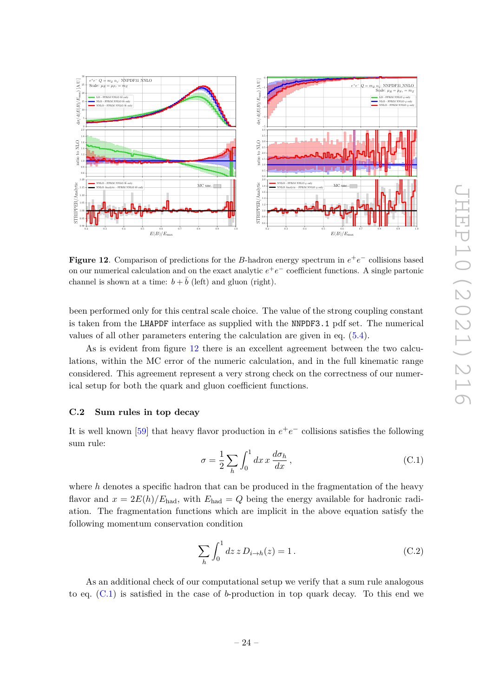

<span id="page-24-1"></span>**Figure 12.** Comparison of predictions for the *B*-hadron energy spectrum in  $e^+e^-$  collisions based on our numerical calculation and on the exact analytic  $e^+e^-$  coefficient functions. A single partonic channel is shown at a time:  $b + \overline{b}$  (left) and gluon (right).

been performed only for this central scale choice. The value of the strong coupling constant is taken from the LHAPDF interface as supplied with the NNPDF3.1 pdf set. The numerical values of all other parameters entering the calculation are given in eq. [\(5.4\)](#page-13-3).

As is evident from figure [12](#page-24-1) there is an excellent agreement between the two calculations, within the MC error of the numeric calculation, and in the full kinematic range considered. This agreement represent a very strong check on the correctness of our numerical setup for both the quark and gluon coefficient functions.

#### <span id="page-24-0"></span>**C.2 Sum rules in top decay**

It is well known [\[59\]](#page-28-11) that heavy flavor production in  $e^+e^-$  collisions satisfies the following sum rule:

<span id="page-24-2"></span>
$$
\sigma = \frac{1}{2} \sum_{h} \int_{0}^{1} dx \, x \, \frac{d\sigma_h}{dx},\tag{C.1}
$$

where *h* denotes a specific hadron that can be produced in the fragmentation of the heavy flavor and  $x = 2E(h)/E_{\text{had}}$ , with  $E_{\text{had}} = Q$  being the energy available for hadronic radiation. The fragmentation functions which are implicit in the above equation satisfy the following momentum conservation condition

<span id="page-24-3"></span>
$$
\sum_{h} \int_{0}^{1} dz \, z \, D_{i \to h}(z) = 1. \tag{C.2}
$$

As an additional check of our computational setup we verify that a sum rule analogous to eq. [\(C.1\)](#page-24-2) is satisfied in the case of *b*-production in top quark decay. To this end we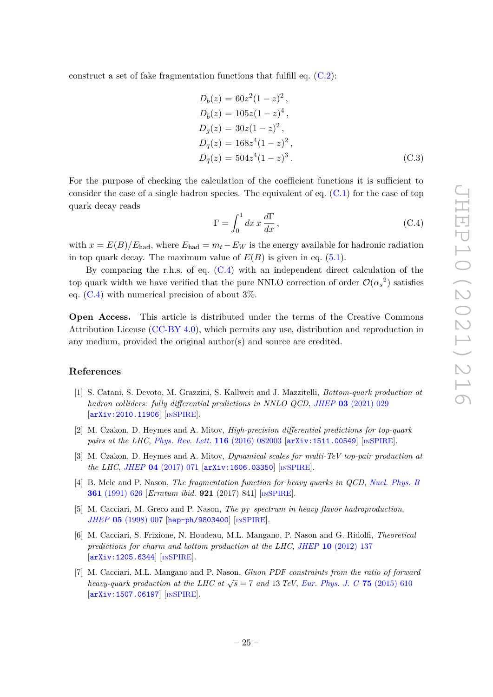construct a set of fake fragmentation functions that fulfill eq. [\(C.2\)](#page-24-3):

$$
D_b(z) = 60z^2(1-z)^2,
$$
  
\n
$$
D_{\bar{b}}(z) = 105z(1-z)^4,
$$
  
\n
$$
D_g(z) = 30z(1-z)^2,
$$
  
\n
$$
D_q(z) = 168z^4(1-z)^2,
$$
  
\n
$$
D_{\bar{q}}(z) = 504z^4(1-z)^3.
$$
\n(C.3)

For the purpose of checking the calculation of the coefficient functions it is sufficient to consider the case of a single hadron species. The equivalent of eq.  $(C.1)$  for the case of top quark decay reads

<span id="page-25-7"></span>
$$
\Gamma = \int_0^1 dx \, x \, \frac{d\Gamma}{dx} \,,\tag{C.4}
$$

with  $x = E(B)/E_{\text{had}}$ , where  $E_{\text{had}} = m_t - E_W$  is the energy available for hadronic radiation in top quark decay. The maximum value of  $E(B)$  is given in eq. [\(5.1\)](#page-11-1).

By comparing the r.h.s. of eq.  $(C.4)$  with an independent direct calculation of the top quark width we have verified that the pure NNLO correction of order  $\mathcal{O}(\alpha_s^2)$  satisfies eq.  $(C.4)$  with numerical precision of about  $3\%$ .

**Open Access.** This article is distributed under the terms of the Creative Commons Attribution License [\(CC-BY 4.0\)](https://creativecommons.org/licenses/by/4.0/), which permits any use, distribution and reproduction in any medium, provided the original author(s) and source are credited.

#### **References**

- <span id="page-25-0"></span>[1] S. Catani, S. Devoto, M. Grazzini, S. Kallweit and J. Mazzitelli, *Bottom-quark production at hadron colliders: fully differential predictions in NNLO QCD*, *JHEP* **03** [\(2021\) 029](https://doi.org/10.1007/JHEP03(2021)029) [[arXiv:2010.11906](https://arxiv.org/abs/2010.11906)] [IN[SPIRE](https://inspirehep.net/search?p=find+EPRINT%2BarXiv%3A2010.11906)].
- <span id="page-25-1"></span>[2] M. Czakon, D. Heymes and A. Mitov, *High-precision differential predictions for top-quark pairs at the LHC, [Phys. Rev. Lett.](https://doi.org/10.1103/PhysRevLett.116.082003)* **116** (2016) 082003 [[arXiv:1511.00549](https://arxiv.org/abs/1511.00549)] [IN[SPIRE](https://inspirehep.net/search?p=find+EPRINT%2BarXiv%3A1511.00549)].
- <span id="page-25-2"></span>[3] M. Czakon, D. Heymes and A. Mitov, *Dynamical scales for multi-TeV top-pair production at the LHC*, *JHEP* **04** [\(2017\) 071](https://doi.org/10.1007/JHEP04(2017)071) [[arXiv:1606.03350](https://arxiv.org/abs/1606.03350)] [IN[SPIRE](https://inspirehep.net/search?p=find+EPRINT%2BarXiv%3A1606.03350)].
- <span id="page-25-3"></span>[4] B. Mele and P. Nason, *The fragmentation function for heavy quarks in QCD*, *[Nucl. Phys. B](https://doi.org/10.1016/0550-3213(91)90597-Q)* **361** [\(1991\) 626](https://doi.org/10.1016/0550-3213(91)90597-Q) [*Erratum ibid.* **921** (2017) 841] [IN[SPIRE](https://inspirehep.net/search?p=find+J%20%22Nucl.Phys.%2CB361%2C626%22)].
- <span id="page-25-4"></span>[5] M. Cacciari, M. Greco and P. Nason, *The p<sup>T</sup> spectrum in heavy flavor hadroproduction*, *JHEP* **05** [\(1998\) 007](https://doi.org/10.1088/1126-6708/1998/05/007) [[hep-ph/9803400](https://arxiv.org/abs/hep-ph/9803400)] [IN[SPIRE](https://inspirehep.net/search?p=find+EPRINT%2Bhep-ph%2F9803400)].
- <span id="page-25-5"></span>[6] M. Cacciari, S. Frixione, N. Houdeau, M.L. Mangano, P. Nason and G. Ridolfi, *Theoretical predictions for charm and bottom production at the LHC*, *JHEP* **10** [\(2012\) 137](https://doi.org/10.1007/JHEP10(2012)137) [[arXiv:1205.6344](https://arxiv.org/abs/1205.6344)] [IN[SPIRE](https://inspirehep.net/search?p=find+EPRINT%2BarXiv%3A1205.6344)].
- <span id="page-25-6"></span>[7] M. Cacciari, M.L. Mangano and P. Nason, *Gluon PDF constraints from the ratio of forward heavy-quark production at the LHC at*  $\sqrt{s} = 7$  *and* 13 *TeV*, *[Eur. Phys. J. C](https://doi.org/10.1140/epjc/s10052-015-3814-x)* **75** (2015) 610 [[arXiv:1507.06197](https://arxiv.org/abs/1507.06197)] [IN[SPIRE](https://inspirehep.net/search?p=find+EPRINT%2BarXiv%3A1507.06197)].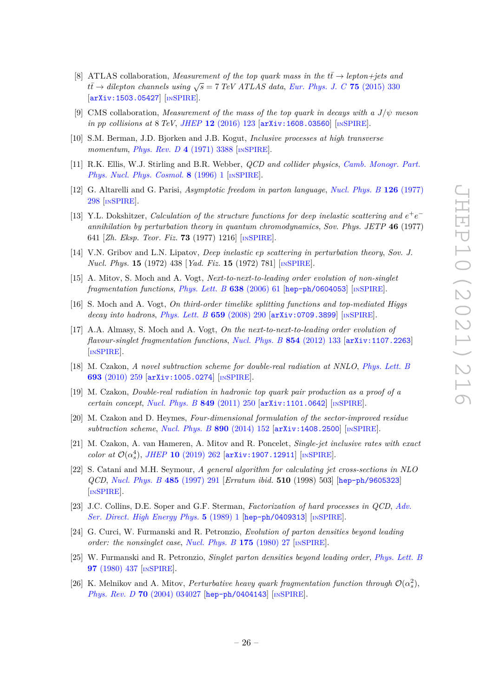- <span id="page-26-0"></span>[8] ATLAS collaboration, *Measurement of the top quark mass in the*  $t\bar{t} \rightarrow lepton + jets$  and  $\tau$ *tt* $\bar{t}$  → *dilepton channels using*  $\sqrt{s}$  = 7 *TeV ATLAS data, [Eur. Phys. J. C](https://doi.org/10.1140/epjc/s10052-015-3544-0)* **75** (2015) 330 [[arXiv:1503.05427](https://arxiv.org/abs/1503.05427)] [IN[SPIRE](https://inspirehep.net/search?p=find+EPRINT%2BarXiv%3A1503.05427)].
- <span id="page-26-1"></span>[9] CMS collaboration, *Measurement of the mass of the top quark in decays with a*  $J/\psi$  *meson in pp collisions at* 8 *TeV*, *JHEP* **12** [\(2016\) 123](https://doi.org/10.1007/JHEP12(2016)123) [[arXiv:1608.03560](https://arxiv.org/abs/1608.03560)] [IN[SPIRE](https://inspirehep.net/search?p=find+EPRINT%2BarXiv%3A1608.03560)].
- <span id="page-26-2"></span>[10] S.M. Berman, J.D. Bjorken and J.B. Kogut, *Inclusive processes at high transverse momentum*, *[Phys. Rev. D](https://doi.org/10.1103/PhysRevD.4.3388)* **4** (1971) 3388 [IN[SPIRE](https://inspirehep.net/search?p=find+J%20%22Phys.Rev.%2CD4%2C3388%22)].
- <span id="page-26-3"></span>[11] R.K. Ellis, W.J. Stirling and B.R. Webber, *QCD and collider physics*, *[Camb. Monogr. Part.](https://doi.org/10.1017/cbo9780511628788) [Phys. Nucl. Phys. Cosmol.](https://doi.org/10.1017/cbo9780511628788)* **8** (1996) 1 [IN[SPIRE](https://inspirehep.net/search?p=find+J%20%22Camb.Monogr.Part.Phys.Nucl.Phys.Cosmol.%2C8%2C1%22)].
- <span id="page-26-4"></span>[12] G. Altarelli and G. Parisi, *Asymptotic freedom in parton language*, *[Nucl. Phys. B](https://doi.org/10.1016/0550-3213(77)90384-4)* **126** (1977) [298](https://doi.org/10.1016/0550-3213(77)90384-4) [IN[SPIRE](https://inspirehep.net/search?p=find+J%20%22Nucl.Phys.%2CB126%2C298%22)].
- [13] Y.L. Dokshitzer, *Calculation of the structure functions for deep inelastic scattering and*  $e^+e^$ *annihilation by perturbation theory in quantum chromodynamics*, *Sov. Phys. JETP* **46** (1977) 641 [*Zh. Eksp. Teor. Fiz.* **73** (1977) 1216] [IN[SPIRE](https://inspirehep.net/search?p=find+J%20%22Sov.Phys.JETP%2C46%2C641%22)].
- <span id="page-26-5"></span>[14] V.N. Gribov and L.N. Lipatov, *Deep inelastic ep scattering in perturbation theory*, *Sov. J. Nucl. Phys.* **15** (1972) 438 [*Yad. Fiz.* **15** (1972) 781] [IN[SPIRE](https://inspirehep.net/search?p=find+J%20%22Sov.J.Nucl.Phys.%2C15%2C438%22)].
- <span id="page-26-6"></span>[15] A. Mitov, S. Moch and A. Vogt, *Next-to-next-to-leading order evolution of non-singlet fragmentation functions*, *[Phys. Lett. B](https://doi.org/10.1016/j.physletb.2006.05.005)* **638** (2006) 61 [[hep-ph/0604053](https://arxiv.org/abs/hep-ph/0604053)] [IN[SPIRE](https://inspirehep.net/search?p=find+EPRINT%2Bhep-ph%2F0604053)].
- [16] S. Moch and A. Vogt, *On third-order timelike splitting functions and top-mediated Higgs decay into hadrons*, *[Phys. Lett. B](https://doi.org/10.1016/j.physletb.2007.10.069)* **659** (2008) 290 [[arXiv:0709.3899](https://arxiv.org/abs/0709.3899)] [IN[SPIRE](https://inspirehep.net/search?p=find+EPRINT%2BarXiv%3A0709.3899)].
- <span id="page-26-7"></span>[17] A.A. Almasy, S. Moch and A. Vogt, *On the next-to-next-to-leading order evolution of flavour-singlet fragmentation functions*, *[Nucl. Phys. B](https://doi.org/10.1016/j.nuclphysb.2011.08.028)* **854** (2012) 133 [[arXiv:1107.2263](https://arxiv.org/abs/1107.2263)] [IN[SPIRE](https://inspirehep.net/search?p=find+EPRINT%2BarXiv%3A1107.2263)].
- <span id="page-26-8"></span>[18] M. Czakon, *A novel subtraction scheme for double-real radiation at NNLO*, *[Phys. Lett. B](https://doi.org/10.1016/j.physletb.2010.08.036)* **693** [\(2010\) 259](https://doi.org/10.1016/j.physletb.2010.08.036) [[arXiv:1005.0274](https://arxiv.org/abs/1005.0274)] [IN[SPIRE](https://inspirehep.net/search?p=find+EPRINT%2BarXiv%3A1005.0274)].
- [19] M. Czakon, *Double-real radiation in hadronic top quark pair production as a proof of a certain concept*, *[Nucl. Phys. B](https://doi.org/10.1016/j.nuclphysb.2011.03.020)* **849** (2011) 250 [[arXiv:1101.0642](https://arxiv.org/abs/1101.0642)] [IN[SPIRE](https://inspirehep.net/search?p=find+EPRINT%2BarXiv%3A1101.0642)].
- <span id="page-26-12"></span>[20] M. Czakon and D. Heymes, *Four-dimensional formulation of the sector-improved residue subtraction scheme*, *[Nucl. Phys. B](https://doi.org/10.1016/j.nuclphysb.2014.11.006)* **890** (2014) 152 [[arXiv:1408.2500](https://arxiv.org/abs/1408.2500)] [IN[SPIRE](https://inspirehep.net/search?p=find+EPRINT%2BarXiv%3A1408.2500)].
- <span id="page-26-9"></span>[21] M. Czakon, A. van Hameren, A. Mitov and R. Poncelet, *Single-jet inclusive rates with exact color at*  $\mathcal{O}(\alpha_s^4)$ , *JHEP* **10** [\(2019\) 262](https://doi.org/10.1007/JHEP10(2019)262) [[arXiv:1907.12911](https://arxiv.org/abs/1907.12911)] [IN[SPIRE](https://inspirehep.net/search?p=find+EPRINT%2BarXiv%3A1907.12911)].
- <span id="page-26-10"></span>[22] S. Catani and M.H. Seymour, *A general algorithm for calculating jet cross-sections in NLO QCD*, *[Nucl. Phys. B](https://doi.org/10.1016/S0550-3213(96)00589-5)* **485** (1997) 291 [*Erratum ibid.* **510** (1998) 503] [[hep-ph/9605323](https://arxiv.org/abs/hep-ph/9605323)] [IN[SPIRE](https://inspirehep.net/search?p=find+EPRINT%2Bhep-ph%2F9605323)].
- <span id="page-26-11"></span>[23] J.C. Collins, D.E. Soper and G.F. Sterman, *Factorization of hard processes in QCD*, *[Adv.](https://doi.org/10.1142/9789814503266_0001) [Ser. Direct. High Energy Phys.](https://doi.org/10.1142/9789814503266_0001)* **5** (1989) 1 [[hep-ph/0409313](https://arxiv.org/abs/hep-ph/0409313)] [IN[SPIRE](https://inspirehep.net/search?p=find+EPRINT%2Bhep-ph%2F0409313)].
- <span id="page-26-13"></span>[24] G. Curci, W. Furmanski and R. Petronzio, *Evolution of parton densities beyond leading order: the nonsinglet case*, *[Nucl. Phys. B](https://doi.org/10.1016/0550-3213(80)90003-6)* **175** (1980) 27 [IN[SPIRE](https://inspirehep.net/search?p=find+J%20%22Nucl.Phys.%2CB175%2C27%22)].
- <span id="page-26-14"></span>[25] W. Furmanski and R. Petronzio, *Singlet parton densities beyond leading order*, *[Phys. Lett. B](https://doi.org/10.1016/0370-2693(80)90636-X)* **97** [\(1980\) 437](https://doi.org/10.1016/0370-2693(80)90636-X) [IN[SPIRE](https://inspirehep.net/search?p=find+J%20%22Phys.Lett.%2CB97%2C437%22)].
- <span id="page-26-15"></span>[26] K. Melnikov and A. Mitov, *Perturbative heavy quark fragmentation function through*  $\mathcal{O}(\alpha_s^2)$ , *Phys. Rev. D* **70** [\(2004\) 034027](https://doi.org/10.1103/PhysRevD.70.034027) [[hep-ph/0404143](https://arxiv.org/abs/hep-ph/0404143)] [IN[SPIRE](https://inspirehep.net/search?p=find+EPRINT%2Bhep-ph%2F0404143)].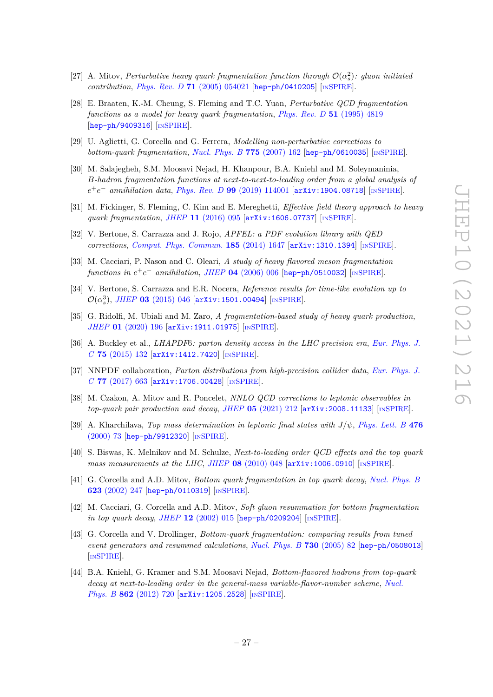- <span id="page-27-0"></span>[27] A. Mitov, *Perturbative heavy quark fragmentation function through*  $\mathcal{O}(\alpha_s^2)$ : gluon initiated *contribution*, *Phys. Rev. D* **71** [\(2005\) 054021](https://doi.org/10.1103/PhysRevD.71.054021) [[hep-ph/0410205](https://arxiv.org/abs/hep-ph/0410205)] [IN[SPIRE](https://inspirehep.net/search?p=find+EPRINT%2Bhep-ph%2F0410205)].
- <span id="page-27-1"></span>[28] E. Braaten, K.-M. Cheung, S. Fleming and T.C. Yuan, *Perturbative QCD fragmentation functions as a model for heavy quark fragmentation*, *[Phys. Rev. D](https://doi.org/10.1103/PhysRevD.51.4819)* **51** (1995) 4819 [[hep-ph/9409316](https://arxiv.org/abs/hep-ph/9409316)] [IN[SPIRE](https://inspirehep.net/search?p=find+EPRINT%2Bhep-ph%2F9409316)].
- <span id="page-27-2"></span>[29] U. Aglietti, G. Corcella and G. Ferrera, *Modelling non-perturbative corrections to bottom-quark fragmentation*, *[Nucl. Phys. B](https://doi.org/10.1016/j.nuclphysb.2007.04.014)* **775** (2007) 162 [[hep-ph/0610035](https://arxiv.org/abs/hep-ph/0610035)] [IN[SPIRE](https://inspirehep.net/search?p=find+EPRINT%2Bhep-ph%2F0610035)].
- <span id="page-27-3"></span>[30] M. Salajegheh, S.M. Moosavi Nejad, H. Khanpour, B.A. Kniehl and M. Soleymaninia, *B-hadron fragmentation functions at next-to-next-to-leading order from a global analysis of e* <sup>+</sup>*e* <sup>−</sup> *annihilation data*, *Phys. Rev. D* **99** [\(2019\) 114001](https://doi.org/10.1103/PhysRevD.99.114001) [[arXiv:1904.08718](https://arxiv.org/abs/1904.08718)] [IN[SPIRE](https://inspirehep.net/search?p=find+EPRINT%2BarXiv%3A1904.08718)].
- <span id="page-27-4"></span>[31] M. Fickinger, S. Fleming, C. Kim and E. Mereghetti, *Effective field theory approach to heavy quark fragmentation*, *JHEP* **11** [\(2016\) 095](https://doi.org/10.1007/JHEP11(2016)095) [[arXiv:1606.07737](https://arxiv.org/abs/1606.07737)] [IN[SPIRE](https://inspirehep.net/search?p=find+EPRINT%2BarXiv%3A1606.07737)].
- <span id="page-27-5"></span>[32] V. Bertone, S. Carrazza and J. Rojo, *APFEL: a PDF evolution library with QED corrections*, *[Comput. Phys. Commun.](https://doi.org/10.1016/j.cpc.2014.03.007)* **185** (2014) 1647 [[arXiv:1310.1394](https://arxiv.org/abs/1310.1394)] [IN[SPIRE](https://inspirehep.net/search?p=find+EPRINT%2BarXiv%3A1310.1394)].
- <span id="page-27-6"></span>[33] M. Cacciari, P. Nason and C. Oleari, *A study of heavy flavored meson fragmentation*  $functions \text{ in } e^+e^-$  annihilation, JHEP 04 [\(2006\) 006](https://doi.org/10.1088/1126-6708/2006/04/006) [[hep-ph/0510032](https://arxiv.org/abs/hep-ph/0510032)] [IN[SPIRE](https://inspirehep.net/search?p=find+EPRINT%2Bhep-ph%2F0510032)].
- <span id="page-27-7"></span>[34] V. Bertone, S. Carrazza and E.R. Nocera, *Reference results for time-like evolution up to*  $\mathcal{O}(\alpha_s^3)$ , *JHEP* 03 [\(2015\) 046](https://doi.org/10.1007/JHEP03(2015)046) [[arXiv:1501.00494](https://arxiv.org/abs/1501.00494)] [IN[SPIRE](https://inspirehep.net/search?p=find+EPRINT%2BarXiv%3A1501.00494)].
- <span id="page-27-8"></span>[35] G. Ridolfi, M. Ubiali and M. Zaro, *A fragmentation-based study of heavy quark production*, *JHEP* **01** [\(2020\) 196](https://doi.org/10.1007/JHEP01(2020)196) [[arXiv:1911.01975](https://arxiv.org/abs/1911.01975)] [IN[SPIRE](https://inspirehep.net/search?p=find+EPRINT%2BarXiv%3A1911.01975)].
- <span id="page-27-9"></span>[36] A. Buckley et al., *LHAPDF*6*: parton density access in the LHC precision era*, *[Eur. Phys. J.](https://doi.org/10.1140/epjc/s10052-015-3318-8) C* **75** [\(2015\) 132](https://doi.org/10.1140/epjc/s10052-015-3318-8) [[arXiv:1412.7420](https://arxiv.org/abs/1412.7420)] [IN[SPIRE](https://inspirehep.net/search?p=find+EPRINT%2BarXiv%3A1412.7420)].
- <span id="page-27-10"></span>[37] NNPDF collaboration, *Parton distributions from high-precision collider data*, *[Eur. Phys. J.](https://doi.org/10.1140/epjc/s10052-017-5199-5) C* **77** [\(2017\) 663](https://doi.org/10.1140/epjc/s10052-017-5199-5) [[arXiv:1706.00428](https://arxiv.org/abs/1706.00428)] [IN[SPIRE](https://inspirehep.net/search?p=find+EPRINT%2BarXiv%3A1706.00428)].
- <span id="page-27-11"></span>[38] M. Czakon, A. Mitov and R. Poncelet, *NNLO QCD corrections to leptonic observables in top-quark pair production and decay*, *JHEP* **05** [\(2021\) 212](https://doi.org/10.1007/JHEP05(2021)212) [[arXiv:2008.11133](https://arxiv.org/abs/2008.11133)] [IN[SPIRE](https://inspirehep.net/search?p=find+EPRINT%2BarXiv%3A2008.11133)].
- <span id="page-27-12"></span>[39] A. Kharchilava, *Top mass determination in leptonic final states with*  $J/\psi$ , *[Phys. Lett. B](https://doi.org/10.1016/S0370-2693(00)00120-9)* 476 [\(2000\) 73](https://doi.org/10.1016/S0370-2693(00)00120-9) [[hep-ph/9912320](https://arxiv.org/abs/hep-ph/9912320)] [IN[SPIRE](https://inspirehep.net/search?p=find+EPRINT%2Bhep-ph%2F9912320)].
- <span id="page-27-13"></span>[40] S. Biswas, K. Melnikov and M. Schulze, *Next-to-leading order QCD effects and the top quark mass measurements at the LHC*, *JHEP* **08** [\(2010\) 048](https://doi.org/10.1007/JHEP08(2010)048) [[arXiv:1006.0910](https://arxiv.org/abs/1006.0910)] [IN[SPIRE](https://inspirehep.net/search?p=find+EPRINT%2BarXiv%3A1006.0910)].
- <span id="page-27-14"></span>[41] G. Corcella and A.D. Mitov, *Bottom quark fragmentation in top quark decay*, *[Nucl. Phys. B](https://doi.org/10.1016/S0550-3213(01)00639-3)* **623** [\(2002\) 247](https://doi.org/10.1016/S0550-3213(01)00639-3) [[hep-ph/0110319](https://arxiv.org/abs/hep-ph/0110319)] [IN[SPIRE](https://inspirehep.net/search?p=find+EPRINT%2Bhep-ph%2F0110319)].
- [42] M. Cacciari, G. Corcella and A.D. Mitov, *Soft gluon resummation for bottom fragmentation in top quark decay*, *JHEP* **12** [\(2002\) 015](https://doi.org/10.1088/1126-6708/2002/12/015) [[hep-ph/0209204](https://arxiv.org/abs/hep-ph/0209204)] [IN[SPIRE](https://inspirehep.net/search?p=find+EPRINT%2Bhep-ph%2F0209204)].
- [43] G. Corcella and V. Drollinger, *Bottom-quark fragmentation: comparing results from tuned event generators and resummed calculations*, *[Nucl. Phys. B](https://doi.org/10.1016/j.nuclphysb.2005.09.030)* **730** (2005) 82 [[hep-ph/0508013](https://arxiv.org/abs/hep-ph/0508013)] [IN[SPIRE](https://inspirehep.net/search?p=find+EPRINT%2Bhep-ph%2F0508013)].
- [44] B.A. Kniehl, G. Kramer and S.M. Moosavi Nejad, *Bottom-flavored hadrons from top-quark decay at next-to-leading order in the general-mass variable-flavor-number scheme*, *[Nucl.](https://doi.org/10.1016/j.nuclphysb.2012.05.008) Phys. B* **862** [\(2012\) 720](https://doi.org/10.1016/j.nuclphysb.2012.05.008) [[arXiv:1205.2528](https://arxiv.org/abs/1205.2528)] [IN[SPIRE](https://inspirehep.net/search?p=find+EPRINT%2BarXiv%3A1205.2528)].